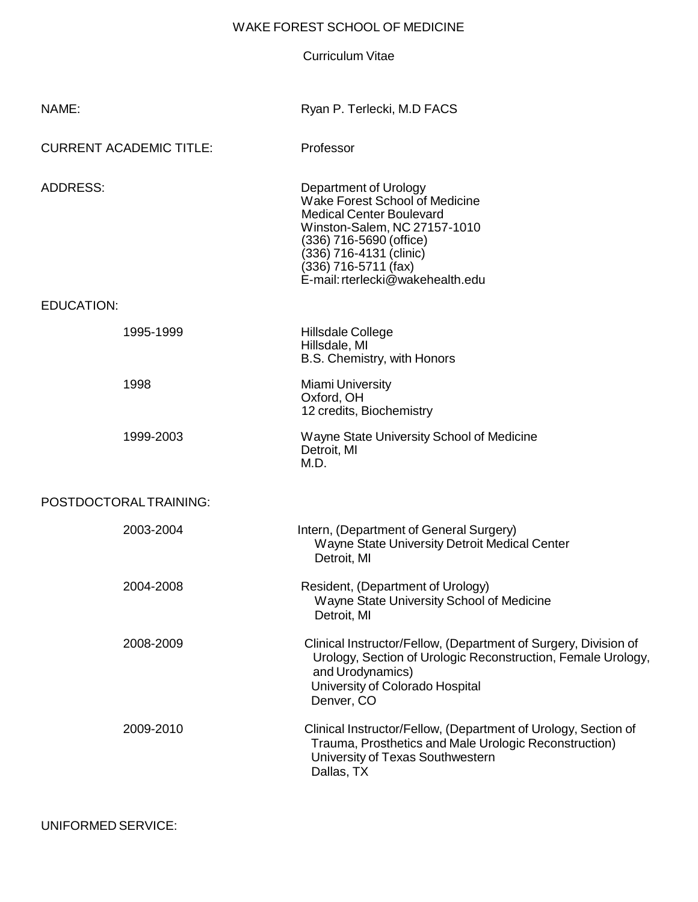# WAKE FOREST SCHOOL OF MEDICINE

Curriculum Vitae

| NAME:                          |                        | Ryan P. Terlecki, M.D FACS                                                                                                                                                                                                                   |
|--------------------------------|------------------------|----------------------------------------------------------------------------------------------------------------------------------------------------------------------------------------------------------------------------------------------|
| <b>CURRENT ACADEMIC TITLE:</b> |                        | Professor                                                                                                                                                                                                                                    |
| <b>ADDRESS:</b>                |                        | Department of Urology<br>Wake Forest School of Medicine<br><b>Medical Center Boulevard</b><br>Winston-Salem, NC 27157-1010<br>(336) 716-5690 (office)<br>(336) 716-4131 (clinic)<br>(336) 716-5711 (fax)<br>E-mail: rterlecki@wakehealth.edu |
| <b>EDUCATION:</b>              |                        |                                                                                                                                                                                                                                              |
|                                | 1995-1999              | Hillsdale College<br>Hillsdale, MI<br>B.S. Chemistry, with Honors                                                                                                                                                                            |
|                                | 1998                   | <b>Miami University</b><br>Oxford, OH<br>12 credits, Biochemistry                                                                                                                                                                            |
|                                | 1999-2003              | Wayne State University School of Medicine<br>Detroit, MI<br>M.D.                                                                                                                                                                             |
|                                | POSTDOCTORAL TRAINING: |                                                                                                                                                                                                                                              |
|                                | 2003-2004              | Intern, (Department of General Surgery)<br>Wayne State University Detroit Medical Center<br>Detroit, MI                                                                                                                                      |
|                                | 2004-2008              | Resident, (Department of Urology)<br>Wayne State University School of Medicine<br>Detroit, MI                                                                                                                                                |
|                                | 2008-2009              | Clinical Instructor/Fellow, (Department of Surgery, Division of<br>Urology, Section of Urologic Reconstruction, Female Urology,<br>and Urodynamics)<br>University of Colorado Hospital<br>Denver, CO                                         |
|                                | 2009-2010              | Clinical Instructor/Fellow, (Department of Urology, Section of<br>Trauma, Prosthetics and Male Urologic Reconstruction)<br>University of Texas Southwestern<br>Dallas, TX                                                                    |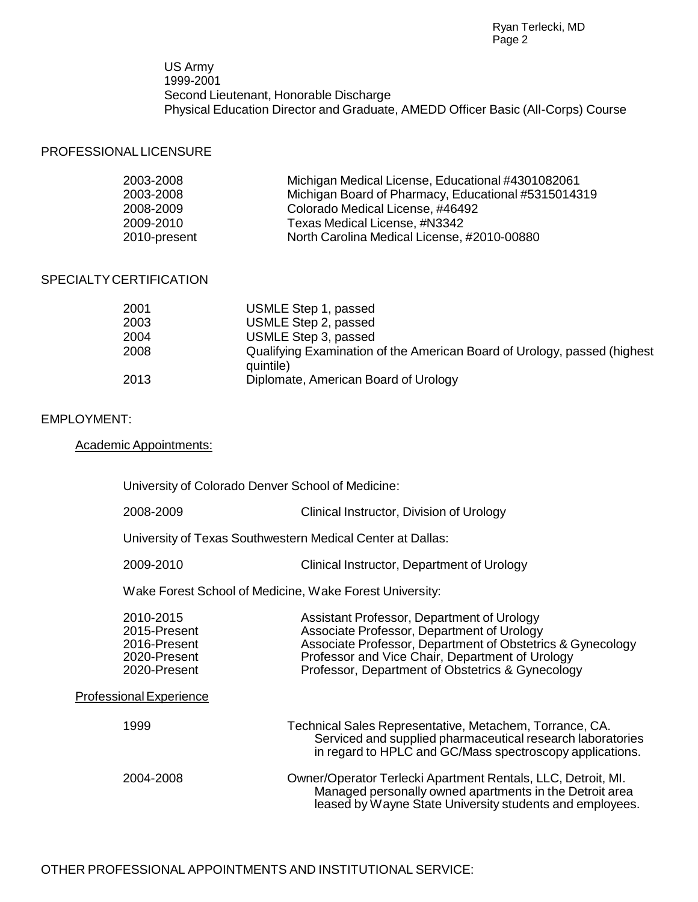US Army 1999-2001 Second Lieutenant, Honorable Discharge Physical Education Director and Graduate, AMEDD Officer Basic (All-Corps) Course

## PROFESSIONAL LICENSURE

| 2003-2008    | Michigan Medical License, Educational #4301082061   |
|--------------|-----------------------------------------------------|
| 2003-2008    | Michigan Board of Pharmacy, Educational #5315014319 |
| 2008-2009    | Colorado Medical License, #46492                    |
| 2009-2010    | Texas Medical License, #N3342                       |
| 2010-present | North Carolina Medical License, #2010-00880         |

### SPECIALTYCERTIFICATION

| 2001 | USMLE Step 1, passed                                                                  |
|------|---------------------------------------------------------------------------------------|
| 2003 | USMLE Step 2, passed                                                                  |
| 2004 | USMLE Step 3, passed                                                                  |
| 2008 | Qualifying Examination of the American Board of Urology, passed (highest<br>quintile) |
| 2013 | Diplomate, American Board of Urology                                                  |

#### EMPLOYMENT:

Academic Appointments:

|                                | University of Colorado Denver School of Medicine:                         |                                                                                                                                                                                                                                                               |
|--------------------------------|---------------------------------------------------------------------------|---------------------------------------------------------------------------------------------------------------------------------------------------------------------------------------------------------------------------------------------------------------|
|                                | 2008-2009                                                                 | Clinical Instructor, Division of Urology                                                                                                                                                                                                                      |
|                                |                                                                           | University of Texas Southwestern Medical Center at Dallas:                                                                                                                                                                                                    |
|                                | 2009-2010                                                                 | Clinical Instructor, Department of Urology                                                                                                                                                                                                                    |
|                                | Wake Forest School of Medicine, Wake Forest University:                   |                                                                                                                                                                                                                                                               |
|                                | 2010-2015<br>2015-Present<br>2016-Present<br>2020-Present<br>2020-Present | Assistant Professor, Department of Urology<br>Associate Professor, Department of Urology<br>Associate Professor, Department of Obstetrics & Gynecology<br>Professor and Vice Chair, Department of Urology<br>Professor, Department of Obstetrics & Gynecology |
| <b>Professional Experience</b> |                                                                           |                                                                                                                                                                                                                                                               |
|                                | 1999                                                                      | Technical Sales Representative, Metachem, Torrance, CA.<br>Serviced and supplied pharmaceutical research laboratories<br>in regard to HPLC and GC/Mass spectroscopy applications.                                                                             |
|                                | 2004-2008                                                                 | Owner/Operator Terlecki Apartment Rentals, LLC, Detroit, MI.<br>Managed personally owned apartments in the Detroit area<br>leased by Wayne State University students and employees.                                                                           |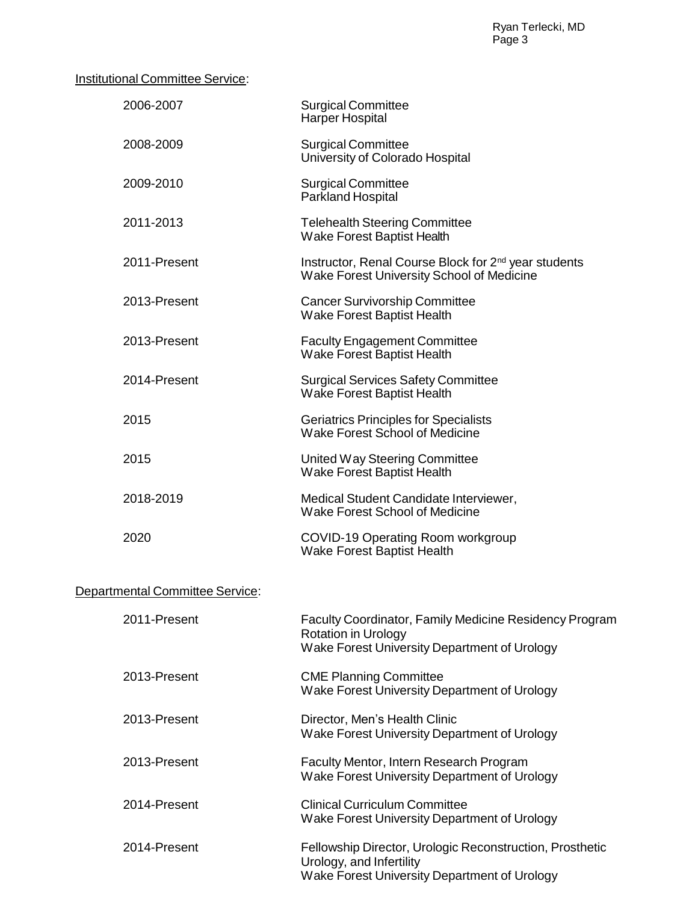# **Institutional Committee Service:**

| 2006-2007                              | <b>Surgical Committee</b><br><b>Harper Hospital</b>                                                                                         |
|----------------------------------------|---------------------------------------------------------------------------------------------------------------------------------------------|
| 2008-2009                              | <b>Surgical Committee</b><br>University of Colorado Hospital                                                                                |
| 2009-2010                              | <b>Surgical Committee</b><br><b>Parkland Hospital</b>                                                                                       |
| 2011-2013                              | <b>Telehealth Steering Committee</b><br>Wake Forest Baptist Health                                                                          |
| 2011-Present                           | Instructor, Renal Course Block for 2 <sup>nd</sup> year students<br>Wake Forest University School of Medicine                               |
| 2013-Present                           | <b>Cancer Survivorship Committee</b><br>Wake Forest Baptist Health                                                                          |
| 2013-Present                           | <b>Faculty Engagement Committee</b><br>Wake Forest Baptist Health                                                                           |
| 2014-Present                           | <b>Surgical Services Safety Committee</b><br>Wake Forest Baptist Health                                                                     |
| 2015                                   | <b>Geriatrics Principles for Specialists</b><br>Wake Forest School of Medicine                                                              |
| 2015                                   | United Way Steering Committee<br>Wake Forest Baptist Health                                                                                 |
| 2018-2019                              | Medical Student Candidate Interviewer,<br>Wake Forest School of Medicine                                                                    |
| 2020                                   | COVID-19 Operating Room workgroup<br><b>Wake Forest Baptist Health</b>                                                                      |
| <b>Departmental Committee Service:</b> |                                                                                                                                             |
| 2011-Present                           | <b>Faculty Coordinator, Family Medicine Residency Program</b><br><b>Rotation in Urology</b><br>Wake Forest University Department of Urology |
| 2013-Present                           | <b>CME Planning Committee</b><br>Wake Forest University Department of Urology                                                               |
| 2013-Present                           | Director, Men's Health Clinic<br>Wake Forest University Department of Urology                                                               |
| 2013-Present                           | Faculty Mentor, Intern Research Program<br>Wake Forest University Department of Urology                                                     |
| 2014-Present                           | <b>Clinical Curriculum Committee</b><br>Wake Forest University Department of Urology                                                        |
| 2014-Present                           | Fellowship Director, Urologic Reconstruction, Prosthetic<br>Urology, and Infertility<br>Wake Forest University Department of Urology        |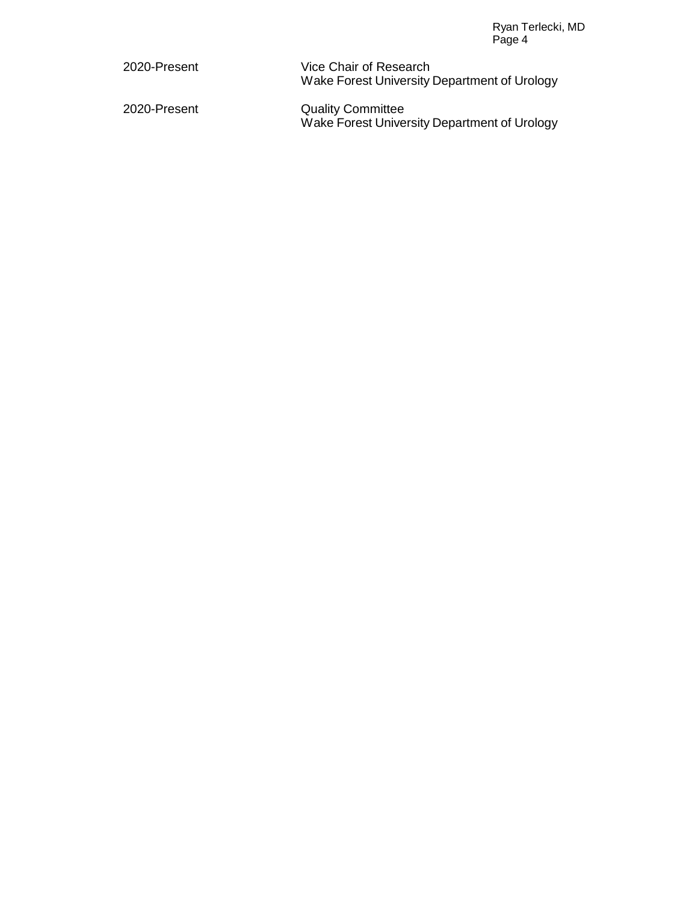| 2020-Present | Vice Chair of Research                       |
|--------------|----------------------------------------------|
|              | Wake Forest University Department of Urology |
|              |                                              |

2020-Present Quality Committee Wake Forest University Department of Urology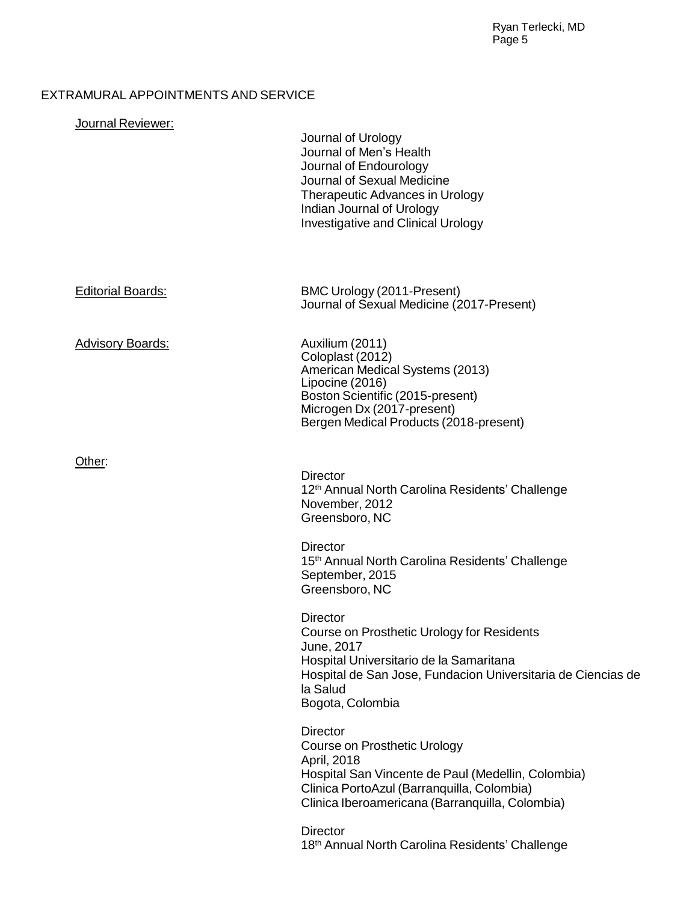# EXTRAMURAL APPOINTMENTS AND SERVICE

| Journal Reviewer:        | Journal of Urology<br>Journal of Men's Health<br>Journal of Endourology<br>Journal of Sexual Medicine<br>Therapeutic Advances in Urology<br>Indian Journal of Urology<br><b>Investigative and Clinical Urology</b>    |
|--------------------------|-----------------------------------------------------------------------------------------------------------------------------------------------------------------------------------------------------------------------|
| <b>Editorial Boards:</b> | BMC Urology (2011-Present)<br>Journal of Sexual Medicine (2017-Present)                                                                                                                                               |
| <b>Advisory Boards:</b>  | Auxilium (2011)<br>Coloplast (2012)<br>American Medical Systems (2013)<br>Lipocine (2016)<br>Boston Scientific (2015-present)<br>Microgen Dx (2017-present)<br>Bergen Medical Products (2018-present)                 |
| Other:                   | <b>Director</b><br>12th Annual North Carolina Residents' Challenge<br>November, 2012<br>Greensboro, NC                                                                                                                |
|                          | <b>Director</b><br>15 <sup>th</sup> Annual North Carolina Residents' Challenge<br>September, 2015<br>Greensboro, NC                                                                                                   |
|                          | Director<br>Course on Prosthetic Urology for Residents<br>June, 2017<br>Hospital Universitario de la Samaritana<br>Hospital de San Jose, Fundacion Universitaria de Ciencias de<br>la Salud<br>Bogota, Colombia       |
|                          | <b>Director</b><br>Course on Prosthetic Urology<br>April, 2018<br>Hospital San Vincente de Paul (Medellin, Colombia)<br>Clinica PortoAzul (Barranquilla, Colombia)<br>Clinica Iberoamericana (Barranquilla, Colombia) |
|                          | <b>Director</b><br>18th Annual North Carolina Residents' Challenge                                                                                                                                                    |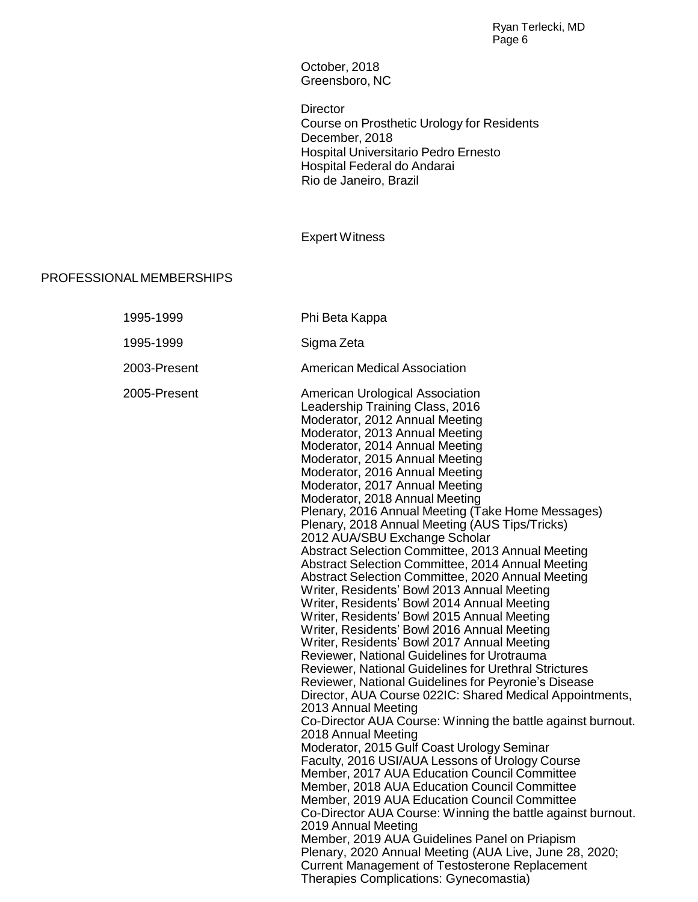October, 2018 Greensboro, NC

**Director** Course on Prosthetic Urology for Residents December, 2018 Hospital Universitario Pedro Ernesto Hospital Federal do Andarai Rio de Janeiro, Brazil

Expert Witness

## PROFESSIONALMEMBERSHIPS

| 1995-1999    | Phi Beta Kappa                                                                                                                                                                                                                                                                                                                                                                                                                                                                                                                                                                                                                                                                                                                                                                                                                                                                                                                                                                                                                                                                                                                                                                                                                                                                                                                                                                                                                                                                                                                                                                                                                                                                                                                                                   |
|--------------|------------------------------------------------------------------------------------------------------------------------------------------------------------------------------------------------------------------------------------------------------------------------------------------------------------------------------------------------------------------------------------------------------------------------------------------------------------------------------------------------------------------------------------------------------------------------------------------------------------------------------------------------------------------------------------------------------------------------------------------------------------------------------------------------------------------------------------------------------------------------------------------------------------------------------------------------------------------------------------------------------------------------------------------------------------------------------------------------------------------------------------------------------------------------------------------------------------------------------------------------------------------------------------------------------------------------------------------------------------------------------------------------------------------------------------------------------------------------------------------------------------------------------------------------------------------------------------------------------------------------------------------------------------------------------------------------------------------------------------------------------------------|
| 1995-1999    | Sigma Zeta                                                                                                                                                                                                                                                                                                                                                                                                                                                                                                                                                                                                                                                                                                                                                                                                                                                                                                                                                                                                                                                                                                                                                                                                                                                                                                                                                                                                                                                                                                                                                                                                                                                                                                                                                       |
| 2003-Present | <b>American Medical Association</b>                                                                                                                                                                                                                                                                                                                                                                                                                                                                                                                                                                                                                                                                                                                                                                                                                                                                                                                                                                                                                                                                                                                                                                                                                                                                                                                                                                                                                                                                                                                                                                                                                                                                                                                              |
| 2005-Present | American Urological Association<br>Leadership Training Class, 2016<br>Moderator, 2012 Annual Meeting<br>Moderator, 2013 Annual Meeting<br>Moderator, 2014 Annual Meeting<br>Moderator, 2015 Annual Meeting<br>Moderator, 2016 Annual Meeting<br>Moderator, 2017 Annual Meeting<br>Moderator, 2018 Annual Meeting<br>Plenary, 2016 Annual Meeting (Take Home Messages)<br>Plenary, 2018 Annual Meeting (AUS Tips/Tricks)<br>2012 AUA/SBU Exchange Scholar<br>Abstract Selection Committee, 2013 Annual Meeting<br>Abstract Selection Committee, 2014 Annual Meeting<br>Abstract Selection Committee, 2020 Annual Meeting<br>Writer, Residents' Bowl 2013 Annual Meeting<br>Writer, Residents' Bowl 2014 Annual Meeting<br>Writer, Residents' Bowl 2015 Annual Meeting<br>Writer, Residents' Bowl 2016 Annual Meeting<br>Writer, Residents' Bowl 2017 Annual Meeting<br>Reviewer, National Guidelines for Urotrauma<br>Reviewer, National Guidelines for Urethral Strictures<br>Reviewer, National Guidelines for Peyronie's Disease<br>Director, AUA Course 022IC: Shared Medical Appointments,<br>2013 Annual Meeting<br>Co-Director AUA Course: Winning the battle against burnout.<br>2018 Annual Meeting<br>Moderator, 2015 Gulf Coast Urology Seminar<br>Faculty, 2016 USI/AUA Lessons of Urology Course<br>Member, 2017 AUA Education Council Committee<br>Member, 2018 AUA Education Council Committee<br>Member, 2019 AUA Education Council Committee<br>Co-Director AUA Course: Winning the battle against burnout.<br>2019 Annual Meeting<br>Member, 2019 AUA Guidelines Panel on Priapism<br>Plenary, 2020 Annual Meeting (AUA Live, June 28, 2020;<br><b>Current Management of Testosterone Replacement</b><br>Therapies Complications: Gynecomastia) |
|              |                                                                                                                                                                                                                                                                                                                                                                                                                                                                                                                                                                                                                                                                                                                                                                                                                                                                                                                                                                                                                                                                                                                                                                                                                                                                                                                                                                                                                                                                                                                                                                                                                                                                                                                                                                  |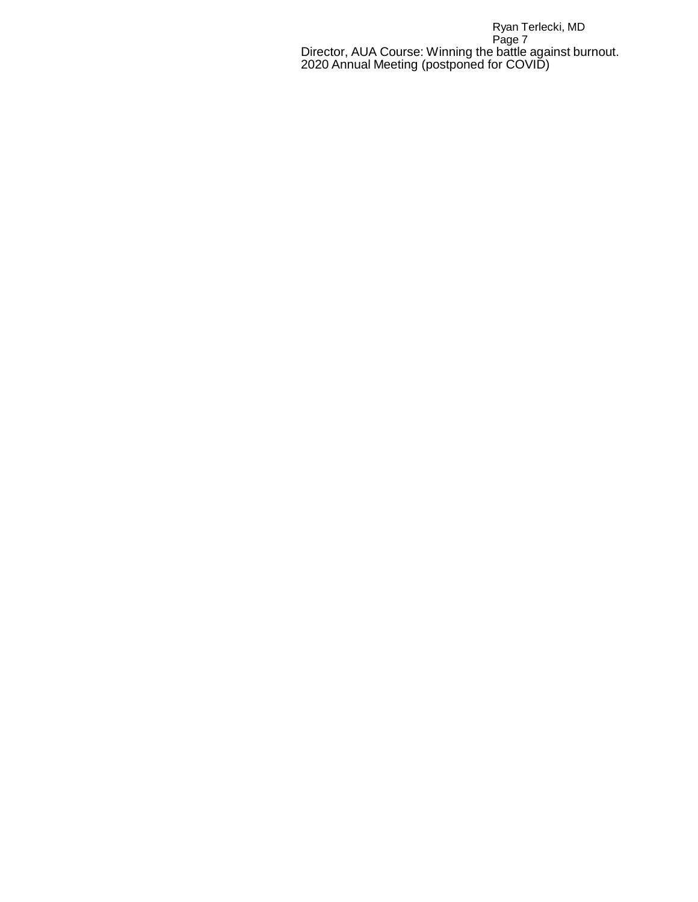Ryan Terlecki, MD Page 7 Director, AUA Course: Winning the battle against burnout. 2020 Annual Meeting (postponed for COVID)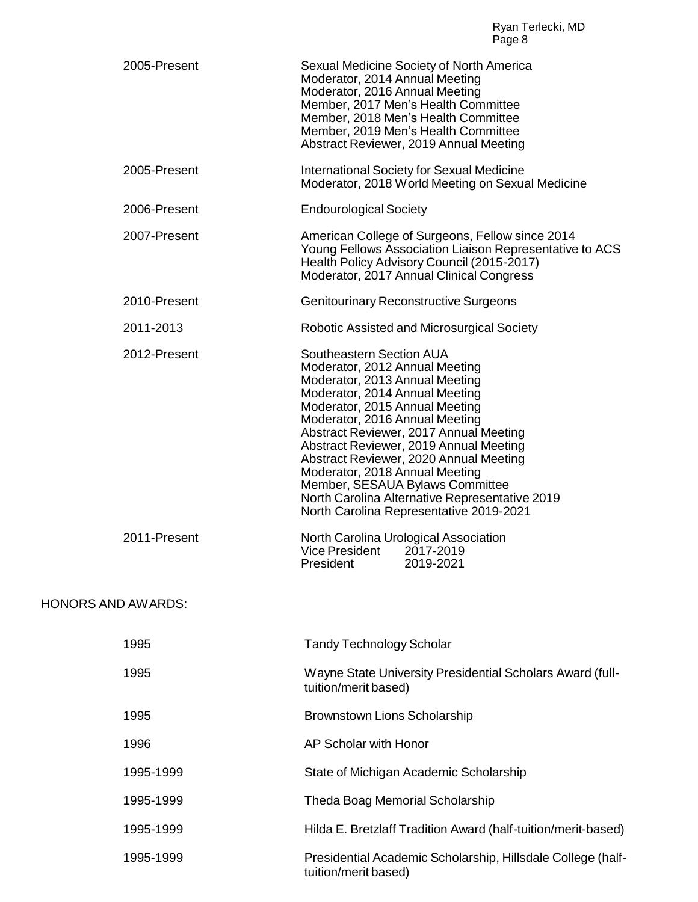| 2005-Present              | Sexual Medicine Society of North America<br>Moderator, 2014 Annual Meeting<br>Moderator, 2016 Annual Meeting<br>Member, 2017 Men's Health Committee<br>Member, 2018 Men's Health Committee<br>Member, 2019 Men's Health Committee<br>Abstract Reviewer, 2019 Annual Meeting                                                                                                                                                                                                                        |
|---------------------------|----------------------------------------------------------------------------------------------------------------------------------------------------------------------------------------------------------------------------------------------------------------------------------------------------------------------------------------------------------------------------------------------------------------------------------------------------------------------------------------------------|
| 2005-Present              | <b>International Society for Sexual Medicine</b><br>Moderator, 2018 World Meeting on Sexual Medicine                                                                                                                                                                                                                                                                                                                                                                                               |
| 2006-Present              | <b>Endourological Society</b>                                                                                                                                                                                                                                                                                                                                                                                                                                                                      |
| 2007-Present              | American College of Surgeons, Fellow since 2014<br>Young Fellows Association Liaison Representative to ACS<br>Health Policy Advisory Council (2015-2017)<br>Moderator, 2017 Annual Clinical Congress                                                                                                                                                                                                                                                                                               |
| 2010-Present              | <b>Genitourinary Reconstructive Surgeons</b>                                                                                                                                                                                                                                                                                                                                                                                                                                                       |
| 2011-2013                 | Robotic Assisted and Microsurgical Society                                                                                                                                                                                                                                                                                                                                                                                                                                                         |
| 2012-Present              | Southeastern Section AUA<br>Moderator, 2012 Annual Meeting<br>Moderator, 2013 Annual Meeting<br>Moderator, 2014 Annual Meeting<br>Moderator, 2015 Annual Meeting<br>Moderator, 2016 Annual Meeting<br>Abstract Reviewer, 2017 Annual Meeting<br>Abstract Reviewer, 2019 Annual Meeting<br>Abstract Reviewer, 2020 Annual Meeting<br>Moderator, 2018 Annual Meeting<br>Member, SESAUA Bylaws Committee<br>North Carolina Alternative Representative 2019<br>North Carolina Representative 2019-2021 |
| 2011-Present              | North Carolina Urological Association<br><b>Vice President</b><br>2017-2019<br>2019-2021<br>President                                                                                                                                                                                                                                                                                                                                                                                              |
| <b>HONORS AND AWARDS:</b> |                                                                                                                                                                                                                                                                                                                                                                                                                                                                                                    |
| 1995                      | <b>Tandy Technology Scholar</b>                                                                                                                                                                                                                                                                                                                                                                                                                                                                    |
| 1995                      | Wayne State University Presidential Scholars Award (full-<br>tuition/merit based)                                                                                                                                                                                                                                                                                                                                                                                                                  |
| 1995                      | <b>Brownstown Lions Scholarship</b>                                                                                                                                                                                                                                                                                                                                                                                                                                                                |
| 1996                      | AP Scholar with Honor                                                                                                                                                                                                                                                                                                                                                                                                                                                                              |
| 1995-1999                 | State of Michigan Academic Scholarship                                                                                                                                                                                                                                                                                                                                                                                                                                                             |
| 1995-1999                 | Theda Boag Memorial Scholarship                                                                                                                                                                                                                                                                                                                                                                                                                                                                    |
| 1995-1999                 | Hilda E. Bretzlaff Tradition Award (half-tuition/merit-based)                                                                                                                                                                                                                                                                                                                                                                                                                                      |
| 1995-1999                 | Presidential Academic Scholarship, Hillsdale College (half-<br>tuition/merit based)                                                                                                                                                                                                                                                                                                                                                                                                                |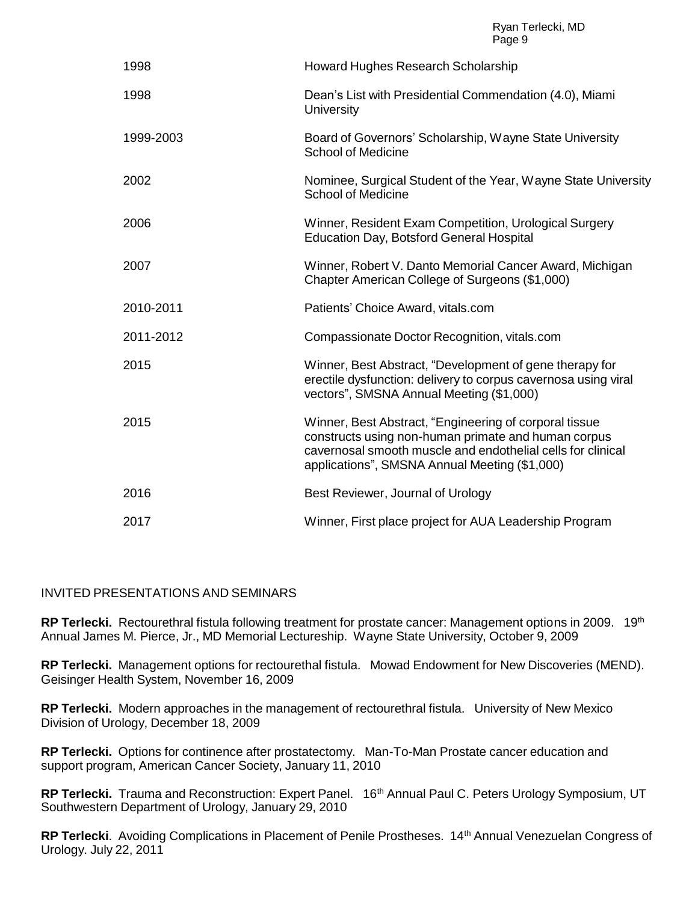| 1998      | Howard Hughes Research Scholarship                                                                                                                                                                                            |
|-----------|-------------------------------------------------------------------------------------------------------------------------------------------------------------------------------------------------------------------------------|
| 1998      | Dean's List with Presidential Commendation (4.0), Miami<br>University                                                                                                                                                         |
| 1999-2003 | Board of Governors' Scholarship, Wayne State University<br><b>School of Medicine</b>                                                                                                                                          |
| 2002      | Nominee, Surgical Student of the Year, Wayne State University<br><b>School of Medicine</b>                                                                                                                                    |
| 2006      | Winner, Resident Exam Competition, Urological Surgery<br><b>Education Day, Botsford General Hospital</b>                                                                                                                      |
| 2007      | Winner, Robert V. Danto Memorial Cancer Award, Michigan<br>Chapter American College of Surgeons (\$1,000)                                                                                                                     |
| 2010-2011 | Patients' Choice Award, vitals.com                                                                                                                                                                                            |
| 2011-2012 | Compassionate Doctor Recognition, vitals.com                                                                                                                                                                                  |
| 2015      | Winner, Best Abstract, "Development of gene therapy for<br>erectile dysfunction: delivery to corpus cavernosa using viral<br>vectors", SMSNA Annual Meeting (\$1,000)                                                         |
| 2015      | Winner, Best Abstract, "Engineering of corporal tissue<br>constructs using non-human primate and human corpus<br>cavernosal smooth muscle and endothelial cells for clinical<br>applications", SMSNA Annual Meeting (\$1,000) |
| 2016      | Best Reviewer, Journal of Urology                                                                                                                                                                                             |
| 2017      | Winner, First place project for AUA Leadership Program                                                                                                                                                                        |

#### INVITED PRESENTATIONS AND SEMINARS

RP Terlecki. Rectourethral fistula following treatment for prostate cancer: Management options in 2009. 19<sup>th</sup> Annual James M. Pierce, Jr., MD Memorial Lectureship. Wayne State University, October 9, 2009

**RP Terlecki.** Management options for rectourethal fistula. Mowad Endowment for New Discoveries (MEND). Geisinger Health System, November 16, 2009

**RP Terlecki.** Modern approaches in the management of rectourethral fistula. University of New Mexico Division of Urology, December 18, 2009

**RP Terlecki.** Options for continence after prostatectomy. Man-To-Man Prostate cancer education and support program, American Cancer Society, January 11, 2010

RP Terlecki. Trauma and Reconstruction: Expert Panel. 16<sup>th</sup> Annual Paul C. Peters Urology Symposium, UT Southwestern Department of Urology, January 29, 2010

RP Terlecki. Avoiding Complications in Placement of Penile Prostheses. 14<sup>th</sup> Annual Venezuelan Congress of Urology. July 22, 2011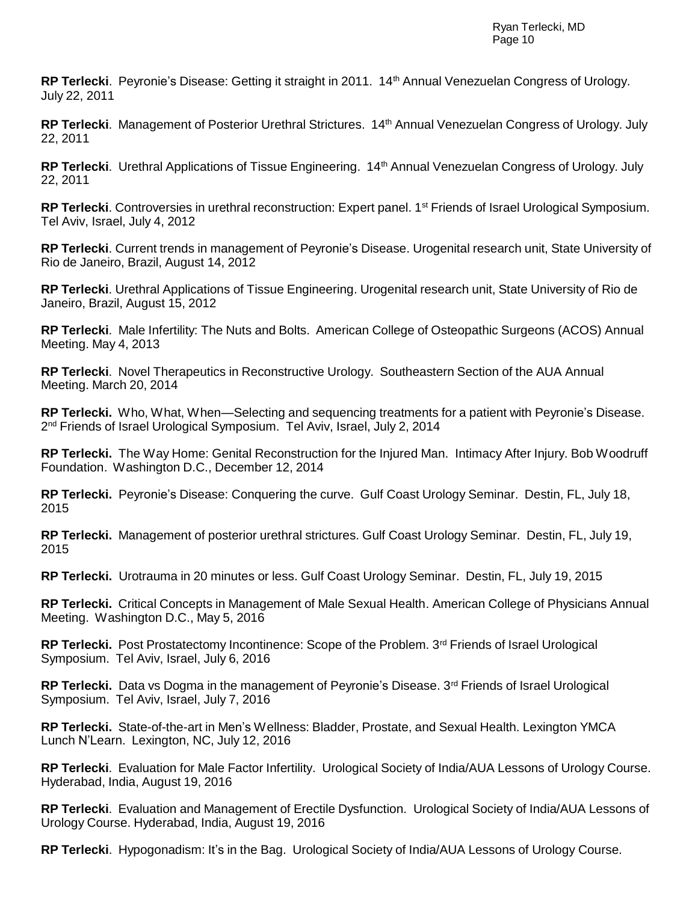**RP Terlecki**. Peyronie's Disease: Getting it straight in 2011. 14 th Annual Venezuelan Congress of Urology. July 22, 2011

RP Terlecki. Management of Posterior Urethral Strictures. 14<sup>th</sup> Annual Venezuelan Congress of Urology. July 22, 2011

RP Terlecki. Urethral Applications of Tissue Engineering. 14<sup>th</sup> Annual Venezuelan Congress of Urology. July 22, 2011

RP Terlecki. Controversies in urethral reconstruction: Expert panel. 1<sup>st</sup> Friends of Israel Urological Symposium. Tel Aviv, Israel, July 4, 2012

**RP Terlecki**. Current trends in management of Peyronie's Disease. Urogenital research unit, State University of Rio de Janeiro, Brazil, August 14, 2012

**RP Terlecki**. Urethral Applications of Tissue Engineering. Urogenital research unit, State University of Rio de Janeiro, Brazil, August 15, 2012

**RP Terlecki**. Male Infertility: The Nuts and Bolts. American College of Osteopathic Surgeons (ACOS) Annual Meeting. May 4, 2013

**RP Terlecki**. Novel Therapeutics in Reconstructive Urology. Southeastern Section of the AUA Annual Meeting. March 20, 2014

**RP Terlecki.** Who, What, When—Selecting and sequencing treatments for a patient with Peyronie's Disease. 2 nd Friends of Israel Urological Symposium. Tel Aviv, Israel, July 2, 2014

**RP Terlecki.** The Way Home: Genital Reconstruction for the Injured Man. Intimacy After Injury. Bob Woodruff Foundation. Washington D.C., December 12, 2014

**RP Terlecki.** Peyronie's Disease: Conquering the curve. Gulf Coast Urology Seminar. Destin, FL, July 18, 2015

**RP Terlecki.** Management of posterior urethral strictures. Gulf Coast Urology Seminar. Destin, FL, July 19, 2015

**RP Terlecki.** Urotrauma in 20 minutes or less. Gulf Coast Urology Seminar. Destin, FL, July 19, 2015

**RP Terlecki.** Critical Concepts in Management of Male Sexual Health. American College of Physicians Annual Meeting. Washington D.C., May 5, 2016

RP Terlecki. Post Prostatectomy Incontinence: Scope of the Problem. 3<sup>rd</sup> Friends of Israel Urological Symposium. Tel Aviv, Israel, July 6, 2016

RP Terlecki. Data vs Dogma in the management of Peyronie's Disease. 3<sup>rd</sup> Friends of Israel Urological Symposium. Tel Aviv, Israel, July 7, 2016

**RP Terlecki.** State-of-the-art in Men's Wellness: Bladder, Prostate, and Sexual Health. Lexington YMCA Lunch N'Learn. Lexington, NC, July 12, 2016

**RP Terlecki**. Evaluation for Male Factor Infertility. Urological Society of India/AUA Lessons of Urology Course. Hyderabad, India, August 19, 2016

**RP Terlecki**. Evaluation and Management of Erectile Dysfunction. Urological Society of India/AUA Lessons of Urology Course. Hyderabad, India, August 19, 2016

**RP Terlecki**. Hypogonadism: It's in the Bag. Urological Society of India/AUA Lessons of Urology Course.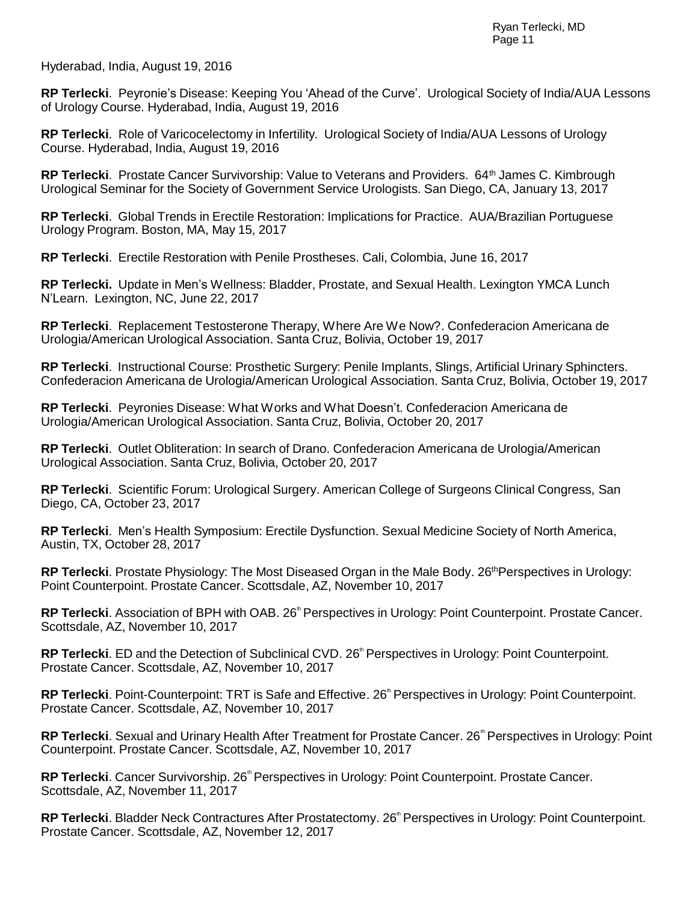Hyderabad, India, August 19, 2016

**RP Terlecki**. Peyronie's Disease: Keeping You 'Ahead of the Curve'. Urological Society of India/AUA Lessons of Urology Course. Hyderabad, India, August 19, 2016

**RP Terlecki**. Role of Varicocelectomy in Infertility. Urological Society of India/AUA Lessons of Urology Course. Hyderabad, India, August 19, 2016

RP Terlecki. Prostate Cancer Survivorship: Value to Veterans and Providers. 64<sup>th</sup> James C. Kimbrough Urological Seminar for the Society of Government Service Urologists. San Diego, CA, January 13, 2017

**RP Terlecki**. Global Trends in Erectile Restoration: Implications for Practice. AUA/Brazilian Portuguese Urology Program. Boston, MA, May 15, 2017

**RP Terlecki**. Erectile Restoration with Penile Prostheses. Cali, Colombia, June 16, 2017

**RP Terlecki.** Update in Men's Wellness: Bladder, Prostate, and Sexual Health. Lexington YMCA Lunch N'Learn. Lexington, NC, June 22, 2017

**RP Terlecki**. Replacement Testosterone Therapy, Where Are We Now?. Confederacion Americana de Urologia/American Urological Association. Santa Cruz, Bolivia, October 19, 2017

**RP Terlecki**. Instructional Course: Prosthetic Surgery: Penile Implants, Slings, Artificial Urinary Sphincters. Confederacion Americana de Urologia/American Urological Association. Santa Cruz, Bolivia, October 19, 2017

**RP Terlecki**. Peyronies Disease: What Works and What Doesn't. Confederacion Americana de Urologia/American Urological Association. Santa Cruz, Bolivia, October 20, 2017

**RP Terlecki**. Outlet Obliteration: In search of Drano. Confederacion Americana de Urologia/American Urological Association. Santa Cruz, Bolivia, October 20, 2017

**RP Terlecki**. Scientific Forum: Urological Surgery. American College of Surgeons Clinical Congress, San Diego, CA, October 23, 2017

**RP Terlecki**. Men's Health Symposium: Erectile Dysfunction. Sexual Medicine Society of North America, Austin, TX, October 28, 2017

**RP Terlecki**. Prostate Physiology: The Most Diseased Organ in the Male Body. 26<sup>th</sup>Perspectives in Urology: Point Counterpoint. Prostate Cancer. Scottsdale, AZ, November 10, 2017

RP Terlecki. Association of BPH with OAB. 26<sup>th</sup> Perspectives in Urology: Point Counterpoint. Prostate Cancer. Scottsdale, AZ, November 10, 2017

**RP Terlecki**. ED and the Detection of Subclinical CVD. 26<sup>th</sup> Perspectives in Urology: Point Counterpoint. Prostate Cancer. Scottsdale, AZ, November 10, 2017

RP Terlecki. Point-Counterpoint: TRT is Safe and Effective. 26<sup>th</sup> Perspectives in Urology: Point Counterpoint. Prostate Cancer. Scottsdale, AZ, November 10, 2017

RP Terlecki. Sexual and Urinary Health After Treatment for Prostate Cancer. 26<sup>th</sup> Perspectives in Urology: Point Counterpoint. Prostate Cancer. Scottsdale, AZ, November 10, 2017

RP Terlecki. Cancer Survivorship. 26<sup>th</sup> Perspectives in Urology: Point Counterpoint. Prostate Cancer. Scottsdale, AZ, November 11, 2017

RP Terlecki. Bladder Neck Contractures After Prostatectomy. 26<sup>th</sup> Perspectives in Urology: Point Counterpoint. Prostate Cancer. Scottsdale, AZ, November 12, 2017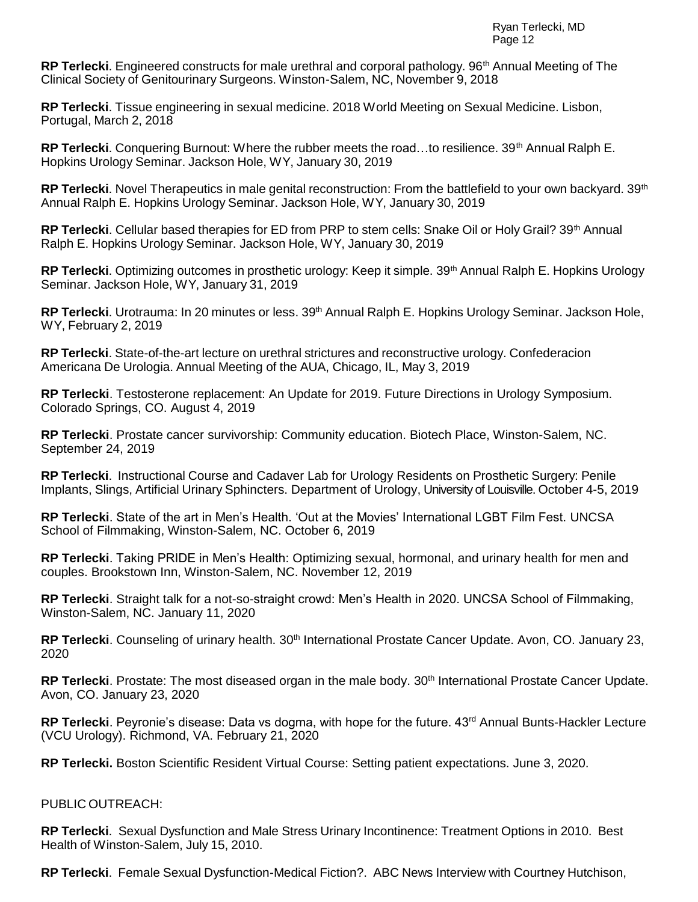RP Terlecki. Engineered constructs for male urethral and corporal pathology. 96<sup>th</sup> Annual Meeting of The Clinical Society of Genitourinary Surgeons. Winston-Salem, NC, November 9, 2018

**RP Terlecki**. Tissue engineering in sexual medicine. 2018 World Meeting on Sexual Medicine. Lisbon, Portugal, March 2, 2018

RP Terlecki. Conquering Burnout: Where the rubber meets the road...to resilience. 39<sup>th</sup> Annual Ralph E. Hopkins Urology Seminar. Jackson Hole, WY, January 30, 2019

RP Terlecki. Novel Therapeutics in male genital reconstruction: From the battlefield to your own backyard. 39<sup>th</sup> Annual Ralph E. Hopkins Urology Seminar. Jackson Hole, WY, January 30, 2019

RP Terlecki. Cellular based therapies for ED from PRP to stem cells: Snake Oil or Holy Grail? 39<sup>th</sup> Annual Ralph E. Hopkins Urology Seminar. Jackson Hole, WY, January 30, 2019

RP Terlecki. Optimizing outcomes in prosthetic urology: Keep it simple. 39<sup>th</sup> Annual Ralph E. Hopkins Urology Seminar. Jackson Hole, WY, January 31, 2019

RP Terlecki. Urotrauma: In 20 minutes or less. 39<sup>th</sup> Annual Ralph E. Hopkins Urology Seminar. Jackson Hole, WY, February 2, 2019

**RP Terlecki**. State-of-the-art lecture on urethral strictures and reconstructive urology. Confederacion Americana De Urologia. Annual Meeting of the AUA, Chicago, IL, May 3, 2019

**RP Terlecki**. Testosterone replacement: An Update for 2019. Future Directions in Urology Symposium. Colorado Springs, CO. August 4, 2019

**RP Terlecki**. Prostate cancer survivorship: Community education. Biotech Place, Winston-Salem, NC. September 24, 2019

**RP Terlecki**. Instructional Course and Cadaver Lab for Urology Residents on Prosthetic Surgery: Penile Implants, Slings, Artificial Urinary Sphincters. Department of Urology, University of Louisville. October 4-5, 2019

**RP Terlecki**. State of the art in Men's Health. 'Out at the Movies' International LGBT Film Fest. UNCSA School of Filmmaking, Winston-Salem, NC. October 6, 2019

**RP Terlecki**. Taking PRIDE in Men's Health: Optimizing sexual, hormonal, and urinary health for men and couples. Brookstown Inn, Winston-Salem, NC. November 12, 2019

**RP Terlecki**. Straight talk for a not-so-straight crowd: Men's Health in 2020. UNCSA School of Filmmaking, Winston-Salem, NC. January 11, 2020

**RP Terlecki**. Counseling of urinary health. 30<sup>th</sup> International Prostate Cancer Update. Avon, CO. January 23, 2020

**RP Terlecki**. Prostate: The most diseased organ in the male body. 30<sup>th</sup> International Prostate Cancer Update. Avon, CO. January 23, 2020

RP Terlecki. Peyronie's disease: Data vs dogma, with hope for the future. 43<sup>rd</sup> Annual Bunts-Hackler Lecture (VCU Urology). Richmond, VA. February 21, 2020

**RP Terlecki.** Boston Scientific Resident Virtual Course: Setting patient expectations. June 3, 2020.

#### PUBLIC OUTREACH:

**RP Terlecki**. Sexual Dysfunction and Male Stress Urinary Incontinence: Treatment Options in 2010. Best Health of Winston-Salem, July 15, 2010.

**RP Terlecki**. Female Sexual Dysfunction-Medical Fiction?. ABC News Interview with Courtney Hutchison,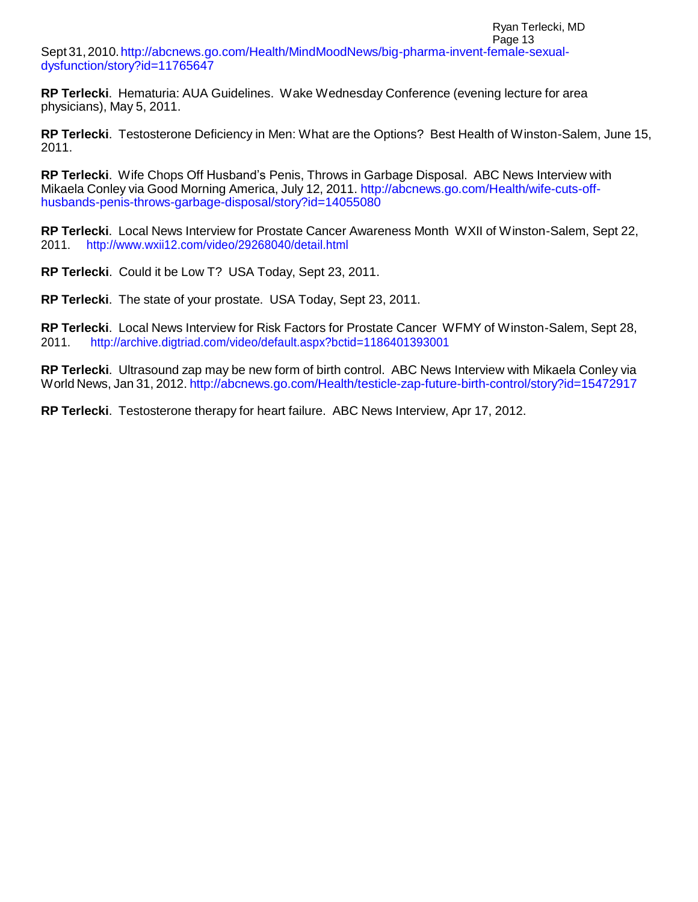#### Page 13 Sept31,2010[.http://abcnews.go.com/Health/MindMoodNews/big-pharma-invent-female-sexual](http://abcnews.go.com/Health/MindMoodNews/big-pharma-invent-female-sexual-dysfunction/story?id=11765647)[dysfunction/story?id=11765647](http://abcnews.go.com/Health/MindMoodNews/big-pharma-invent-female-sexual-dysfunction/story?id=11765647)

**RP Terlecki**. Hematuria: AUA Guidelines. Wake Wednesday Conference (evening lecture for area physicians), May 5, 2011.

**RP Terlecki**. Testosterone Deficiency in Men: What are the Options? Best Health of Winston-Salem, June 15, 2011.

Ryan Terlecki, MD

**RP Terlecki**. Wife Chops Off Husband's Penis, Throws in Garbage Disposal. ABC News Interview with Mikaela Conley via Good Morning America, July 12, 2011. [http://abcnews.go.com/Health/wife-cuts-off](http://abcnews.go.com/Health/wife-cuts-off-husbands-penis-throws-garbage-disposal/story?id=14055080)[husbands-penis-throws-garbage-disposal/story?id=14055080](http://abcnews.go.com/Health/wife-cuts-off-husbands-penis-throws-garbage-disposal/story?id=14055080)

**RP Terlecki**. Local News Interview for Prostate Cancer Awareness Month WXII of Winston-Salem, Sept 22, 2011. <http://www.wxii12.com/video/29268040/detail.html>

**RP Terlecki**. Could it be Low T? USA Today, Sept 23, 2011.

**RP Terlecki**. The state of your prostate. USA Today, Sept 23, 2011.

**RP Terlecki**. Local News Interview for Risk Factors for Prostate Cancer WFMY of Winston-Salem, Sept 28, 2011. <http://archive.digtriad.com/video/default.aspx?bctid=1186401393001>

**RP Terlecki**. Ultrasound zap may be new form of birth control. ABC News Interview with Mikaela Conley via World News, Jan 31, 2012. <http://abcnews.go.com/Health/testicle-zap-future-birth-control/story?id=15472917>

**RP Terlecki**. Testosterone therapy for heart failure. ABC News Interview, Apr 17, 2012.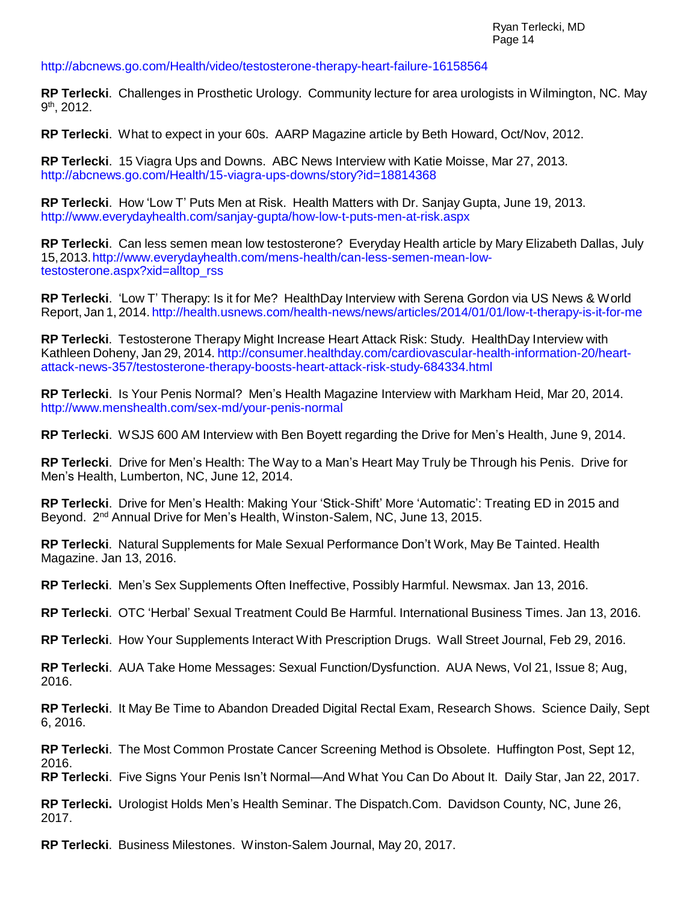### <http://abcnews.go.com/Health/video/testosterone-therapy-heart-failure-16158564>

**RP Terlecki**. Challenges in Prosthetic Urology. Community lecture for area urologists in Wilmington, NC. May 9<sup>th</sup>, 2012.

**RP Terlecki**. What to expect in your 60s. AARP Magazine article by Beth Howard, Oct/Nov, 2012.

**RP Terlecki**. 15 Viagra Ups and Downs. ABC News Interview with Katie Moisse, Mar 27, 2013. <http://abcnews.go.com/Health/15-viagra-ups-downs/story?id=18814368>

**RP Terlecki**. How 'Low T' Puts Men at Risk. Health Matters with Dr. Sanjay Gupta, June 19, 2013. <http://www.everydayhealth.com/sanjay-gupta/how-low-t-puts-men-at-risk.aspx>

**RP Terlecki**. Can less semen mean low testosterone? Everyday Health article by Mary Elizabeth Dallas, July 15,2013[.http://www.everydayhealth.com/mens-health/can-less-semen-mean-low](http://www.everydayhealth.com/mens-health/can-less-semen-mean-low-testosterone.aspx?xid=alltop_rss)[testosterone.aspx?xid=alltop\\_rss](http://www.everydayhealth.com/mens-health/can-less-semen-mean-low-testosterone.aspx?xid=alltop_rss)

**RP Terlecki**. 'Low T' Therapy: Is it for Me? HealthDay Interview with Serena Gordon via US News & World Report, Jan 1, 2014. <http://health.usnews.com/health-news/news/articles/2014/01/01/low-t-therapy-is-it-for-me>

**RP Terlecki**. Testosterone Therapy Might Increase Heart Attack Risk: Study. HealthDay Interview with Kathleen Doheny, Jan 29, 2014. [http://consumer.healthday.com/cardiovascular-health-information-20/heart](http://consumer.healthday.com/cardiovascular-health-information-20/heart-attack-news-357/testosterone-therapy-boosts-heart-attack-risk-study-684334.html)[attack-news-357/testosterone-therapy-boosts-heart-attack-risk-study-684334.html](http://consumer.healthday.com/cardiovascular-health-information-20/heart-attack-news-357/testosterone-therapy-boosts-heart-attack-risk-study-684334.html)

**RP Terlecki**. Is Your Penis Normal? Men's Health Magazine Interview with Markham Heid, Mar 20, 2014. <http://www.menshealth.com/sex-md/your-penis-normal>

**RP Terlecki**. WSJS 600 AM Interview with Ben Boyett regarding the Drive for Men's Health, June 9, 2014.

**RP Terlecki**. Drive for Men's Health: The Way to a Man's Heart May Truly be Through his Penis. Drive for Men's Health, Lumberton, NC, June 12, 2014.

**RP Terlecki**. Drive for Men's Health: Making Your 'Stick-Shift' More 'Automatic': Treating ED in 2015 and Beyond. 2<sup>nd</sup> Annual Drive for Men's Health, Winston-Salem, NC, June 13, 2015.

**RP Terlecki**. Natural Supplements for Male Sexual Performance Don't Work, May Be Tainted. Health Magazine. Jan 13, 2016.

**RP Terlecki**. Men's Sex Supplements Often Ineffective, Possibly Harmful. Newsmax. Jan 13, 2016.

**RP Terlecki**. OTC 'Herbal' Sexual Treatment Could Be Harmful. International Business Times. Jan 13, 2016.

**RP Terlecki**. How Your Supplements Interact With Prescription Drugs. Wall Street Journal, Feb 29, 2016.

**RP Terlecki**. AUA Take Home Messages: Sexual Function/Dysfunction. AUA News, Vol 21, Issue 8; Aug, 2016.

**RP Terlecki**. It May Be Time to Abandon Dreaded Digital Rectal Exam, Research Shows. Science Daily, Sept 6, 2016.

**RP Terlecki**. The Most Common Prostate Cancer Screening Method is Obsolete. Huffington Post, Sept 12, 2016.

**RP Terlecki**. Five Signs Your Penis Isn't Normal—And What You Can Do About It. Daily Star, Jan 22, 2017.

**RP Terlecki.** Urologist Holds Men's Health Seminar. The Dispatch.Com. Davidson County, NC, June 26, 2017.

**RP Terlecki**. Business Milestones. Winston-Salem Journal, May 20, 2017.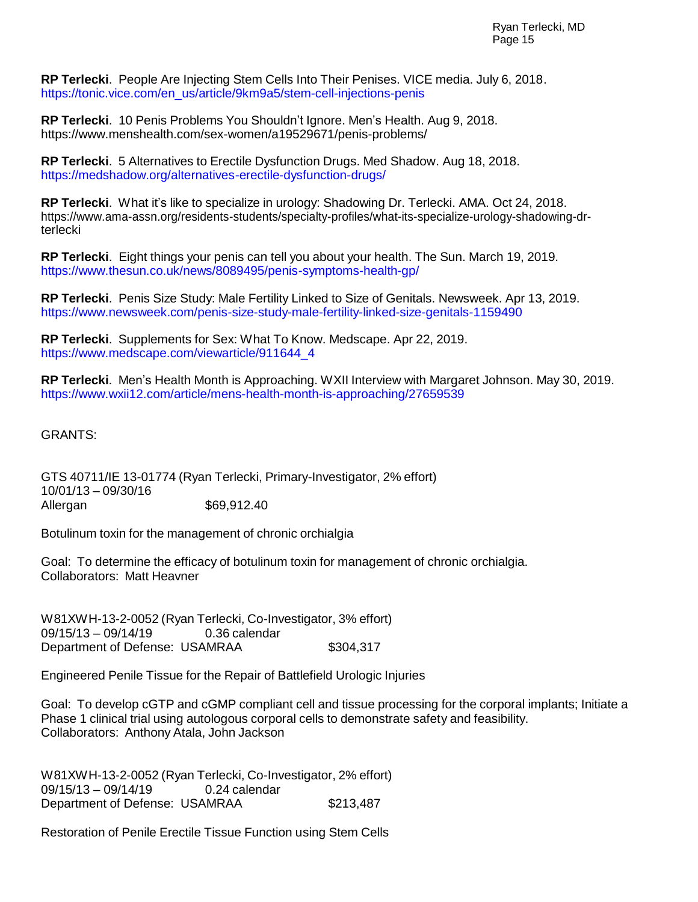**RP Terlecki**. People Are Injecting Stem Cells Into Their Penises. VICE media. July 6, 2018. [https://tonic.vice.com/en\\_us/article/9km9a5/stem-cell-injections-penis](https://tonic.vice.com/en_us/article/9km9a5/stem-cell-injections-penis)

**RP Terlecki**. 10 Penis Problems You Shouldn't Ignore. Men's Health. Aug 9, 2018. https:/[/www.menshealth.com/sex-women/a19529671/penis-problems/](http://www.menshealth.com/sex-women/a19529671/penis-problems/)

**RP Terlecki**. 5 Alternatives to Erectile Dysfunction Drugs. Med Shadow. Aug 18, 2018. <https://medshadow.org/alternatives-erectile-dysfunction-drugs/>

**RP Terlecki**. What it's like to specialize in urology: Shadowing Dr. Terlecki. AMA. Oct 24, 2018. https:/[/www.ama-assn.org/residents-students/specialty-profiles/what-its-specialize-urology-shadowing-dr](http://www.ama-assn.org/residents-students/specialty-profiles/what-its-specialize-urology-shadowing-dr-)terlecki

**RP Terlecki**. Eight things your penis can tell you about your health. The Sun. March 19, 2019. <https://www.thesun.co.uk/news/8089495/penis-symptoms-health-gp/>

**RP Terlecki**. Penis Size Study: Male Fertility Linked to Size of Genitals. Newsweek. Apr 13, 2019. <https://www.newsweek.com/penis-size-study-male-fertility-linked-size-genitals-1159490>

**RP Terlecki**. Supplements for Sex: What To Know. Medscape. Apr 22, 2019. [https://www.medscape.com/viewarticle/911644\\_4](https://www.medscape.com/viewarticle/911644_4)

**RP Terlecki**. Men's Health Month is Approaching. WXII Interview with Margaret Johnson. May 30, 2019. <https://www.wxii12.com/article/mens-health-month-is-approaching/27659539>

GRANTS:

GTS 40711/IE 13-01774 (Ryan Terlecki, Primary-Investigator, 2% effort) 10/01/13 – 09/30/16 Allergan \$69,912.40

Botulinum toxin for the management of chronic orchialgia

Goal: To determine the efficacy of botulinum toxin for management of chronic orchialgia. Collaborators: Matt Heavner

W81XWH-13-2-0052 (Ryan Terlecki, Co-Investigator, 3% effort) 09/15/13 – 09/14/19 0.36 calendar Department of Defense: USAMRAA \$304,317

Engineered Penile Tissue for the Repair of Battlefield Urologic Injuries

Goal: To develop cGTP and cGMP compliant cell and tissue processing for the corporal implants; Initiate a Phase 1 clinical trial using autologous corporal cells to demonstrate safety and feasibility. Collaborators: Anthony Atala, John Jackson

W81XWH-13-2-0052 (Ryan Terlecki, Co-Investigator, 2% effort) 09/15/13 – 09/14/19 0.24 calendar Department of Defense: USAMRAA \$213,487

Restoration of Penile Erectile Tissue Function using Stem Cells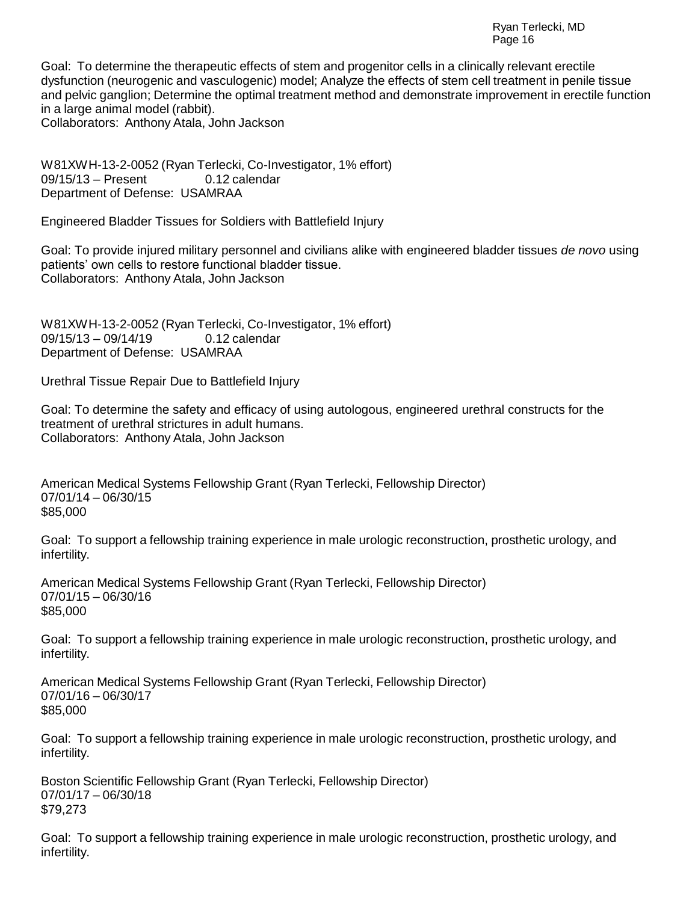Goal: To determine the therapeutic effects of stem and progenitor cells in a clinically relevant erectile dysfunction (neurogenic and vasculogenic) model; Analyze the effects of stem cell treatment in penile tissue and pelvic ganglion; Determine the optimal treatment method and demonstrate improvement in erectile function in a large animal model (rabbit). Collaborators: Anthony Atala, John Jackson

W81XWH-13-2-0052 (Ryan Terlecki, Co-Investigator, 1% effort) 09/15/13 – Present 0.12 calendar Department of Defense: USAMRAA

Engineered Bladder Tissues for Soldiers with Battlefield Injury

Goal: To provide injured military personnel and civilians alike with engineered bladder tissues *de novo* using patients' own cells to restore functional bladder tissue. Collaborators: Anthony Atala, John Jackson

W81XWH-13-2-0052 (Ryan Terlecki, Co-Investigator, 1% effort) 09/15/13 - 09/14/19 0.12 calendar Department of Defense: USAMRAA

Urethral Tissue Repair Due to Battlefield Injury

Goal: To determine the safety and efficacy of using autologous, engineered urethral constructs for the treatment of urethral strictures in adult humans. Collaborators: Anthony Atala, John Jackson

American Medical Systems Fellowship Grant (Ryan Terlecki, Fellowship Director) 07/01/14 – 06/30/15 \$85,000

Goal: To support a fellowship training experience in male urologic reconstruction, prosthetic urology, and infertility.

American Medical Systems Fellowship Grant (Ryan Terlecki, Fellowship Director) 07/01/15 – 06/30/16 \$85,000

Goal: To support a fellowship training experience in male urologic reconstruction, prosthetic urology, and infertility.

American Medical Systems Fellowship Grant (Ryan Terlecki, Fellowship Director) 07/01/16 – 06/30/17 \$85,000

Goal: To support a fellowship training experience in male urologic reconstruction, prosthetic urology, and infertility.

Boston Scientific Fellowship Grant (Ryan Terlecki, Fellowship Director) 07/01/17 – 06/30/18 \$79,273

Goal: To support a fellowship training experience in male urologic reconstruction, prosthetic urology, and infertility.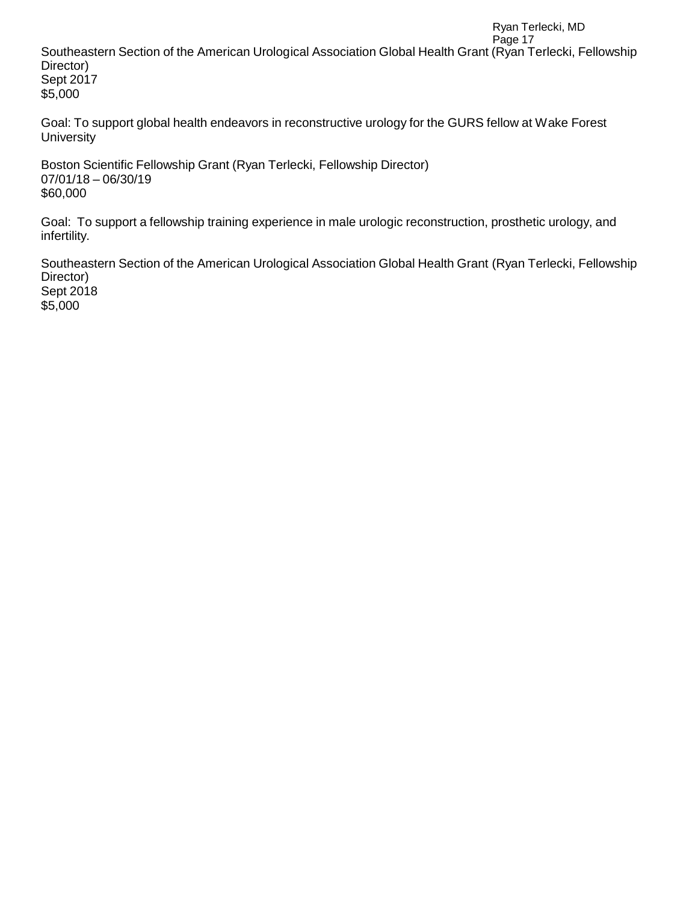Ryan Terlecki, MD Page 17 Southeastern Section of the American Urological Association Global Health Grant (Ryan Terlecki, Fellowship Director) Sept 2017 \$5,000

Goal: To support global health endeavors in reconstructive urology for the GURS fellow at Wake Forest **University** 

Boston Scientific Fellowship Grant (Ryan Terlecki, Fellowship Director) 07/01/18 – 06/30/19 \$60,000

Goal: To support a fellowship training experience in male urologic reconstruction, prosthetic urology, and infertility.

Southeastern Section of the American Urological Association Global Health Grant (Ryan Terlecki, Fellowship Director) Sept 2018 \$5,000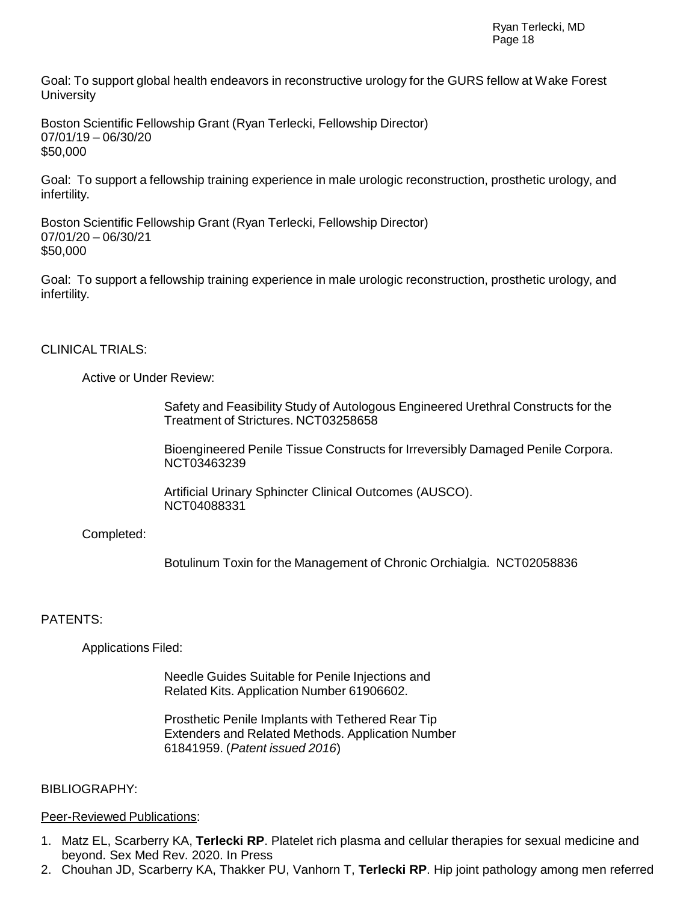Goal: To support global health endeavors in reconstructive urology for the GURS fellow at Wake Forest **University** 

Boston Scientific Fellowship Grant (Ryan Terlecki, Fellowship Director) 07/01/19 – 06/30/20 \$50,000

Goal: To support a fellowship training experience in male urologic reconstruction, prosthetic urology, and infertility.

Boston Scientific Fellowship Grant (Ryan Terlecki, Fellowship Director) 07/01/20 – 06/30/21 \$50,000

Goal: To support a fellowship training experience in male urologic reconstruction, prosthetic urology, and infertility.

#### CLINICAL TRIALS:

Active or Under Review:

Safety and Feasibility Study of Autologous Engineered Urethral Constructs for the Treatment of Strictures. NCT03258658

Bioengineered Penile Tissue Constructs for Irreversibly Damaged Penile Corpora. NCT03463239

Artificial Urinary Sphincter Clinical Outcomes (AUSCO). NCT04088331

Completed:

Botulinum Toxin for the Management of Chronic Orchialgia. NCT02058836

#### PATENTS:

Applications Filed:

Needle Guides Suitable for Penile Injections and Related Kits. Application Number 61906602.

Prosthetic Penile Implants with Tethered Rear Tip Extenders and Related Methods. Application Number 61841959. (*Patent issued 2016*)

#### BIBLIOGRAPHY:

#### Peer-Reviewed Publications:

- 1. Matz EL, Scarberry KA, **Terlecki RP**. Platelet rich plasma and cellular therapies for sexual medicine and beyond. Sex Med Rev. 2020. In Press
- 2. Chouhan JD, Scarberry KA, Thakker PU, Vanhorn T, **Terlecki RP**. Hip joint pathology among men referred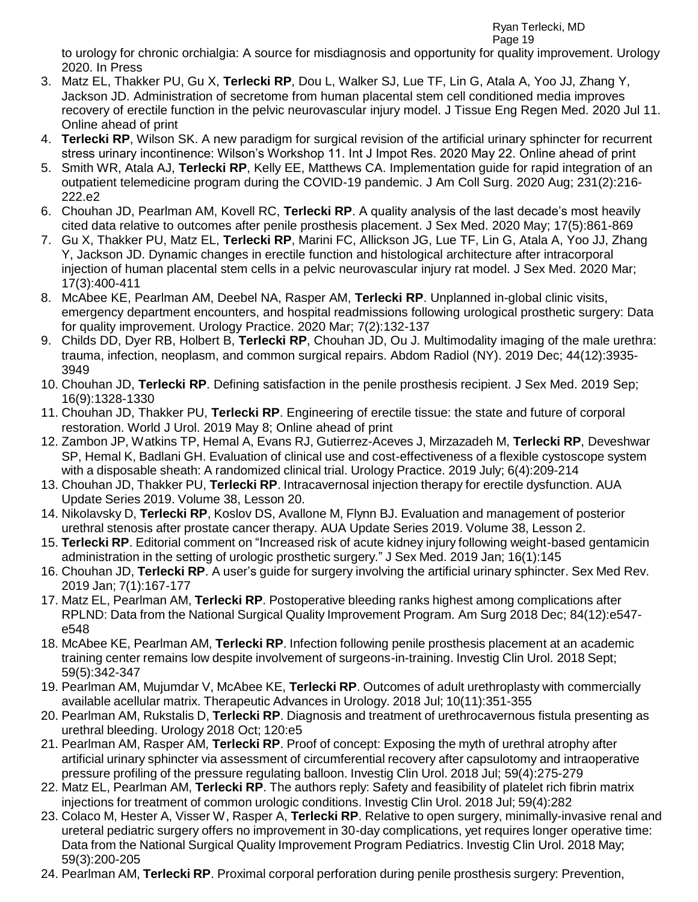to urology for chronic orchialgia: A source for misdiagnosis and opportunity for quality improvement. Urology 2020. In Press

- 3. Matz EL, Thakker PU, Gu X, **Terlecki RP**, Dou L, Walker SJ, Lue TF, Lin G, Atala A, Yoo JJ, Zhang Y, Jackson JD. Administration of secretome from human placental stem cell conditioned media improves recovery of erectile function in the pelvic neurovascular injury model. J Tissue Eng Regen Med. 2020 Jul 11. Online ahead of print
- 4. **Terlecki RP**, Wilson SK. A new paradigm for surgical revision of the artificial urinary sphincter for recurrent stress urinary incontinence: Wilson's Workshop 11. Int J Impot Res. 2020 May 22. Online ahead of print
- 5. Smith WR, Atala AJ, **Terlecki RP**, Kelly EE, Matthews CA. Implementation guide for rapid integration of an outpatient telemedicine program during the COVID-19 pandemic. J Am Coll Surg. 2020 Aug; 231(2):216- 222.e2
- 6. Chouhan JD, Pearlman AM, Kovell RC, **Terlecki RP**. A quality analysis of the last decade's most heavily cited data relative to outcomes after penile prosthesis placement. J Sex Med. 2020 May; 17(5):861-869
- 7. Gu X, Thakker PU, Matz EL, **Terlecki RP**, Marini FC, Allickson JG, Lue TF, Lin G, Atala A, Yoo JJ, Zhang Y, Jackson JD. Dynamic changes in erectile function and histological architecture after intracorporal injection of human placental stem cells in a pelvic neurovascular injury rat model. J Sex Med. 2020 Mar; 17(3):400-411
- 8. McAbee KE, Pearlman AM, Deebel NA, Rasper AM, **Terlecki RP**. Unplanned in-global clinic visits, emergency department encounters, and hospital readmissions following urological prosthetic surgery: Data for quality improvement. Urology Practice. 2020 Mar; 7(2):132-137
- 9. Childs DD, Dyer RB, Holbert B, **Terlecki RP**, Chouhan JD, Ou J. Multimodality imaging of the male urethra: trauma, infection, neoplasm, and common surgical repairs. Abdom Radiol (NY). 2019 Dec; 44(12):3935- 3949
- 10. Chouhan JD, **Terlecki RP**. Defining satisfaction in the penile prosthesis recipient. J Sex Med. 2019 Sep; 16(9):1328-1330
- 11. Chouhan JD, Thakker PU, **Terlecki RP**. Engineering of erectile tissue: the state and future of corporal restoration. World J Urol. 2019 May 8; Online ahead of print
- 12. Zambon JP, Watkins TP, Hemal A, Evans RJ, Gutierrez-Aceves J, Mirzazadeh M, **Terlecki RP**, Deveshwar SP, Hemal K, Badlani GH. Evaluation of clinical use and cost-effectiveness of a flexible cystoscope system with a disposable sheath: A randomized clinical trial. Urology Practice. 2019 July; 6(4):209-214
- 13. Chouhan JD, Thakker PU, **Terlecki RP**. Intracavernosal injection therapy for erectile dysfunction. AUA Update Series 2019. Volume 38, Lesson 20.
- 14. Nikolavsky D, **Terlecki RP**, Koslov DS, Avallone M, Flynn BJ. Evaluation and management of posterior urethral stenosis after prostate cancer therapy. AUA Update Series 2019. Volume 38, Lesson 2.
- 15. **Terlecki RP**. Editorial comment on "Increased risk of acute kidney injury following weight-based gentamicin administration in the setting of urologic prosthetic surgery." J Sex Med. 2019 Jan; 16(1):145
- 16. Chouhan JD, **Terlecki RP**. A user's guide for surgery involving the artificial urinary sphincter. Sex Med Rev. 2019 Jan; 7(1):167-177
- 17. Matz EL, Pearlman AM, **Terlecki RP**. Postoperative bleeding ranks highest among complications after RPLND: Data from the National Surgical Quality Improvement Program. Am Surg 2018 Dec; 84(12):e547 e548
- 18. McAbee KE, Pearlman AM, **Terlecki RP**. Infection following penile prosthesis placement at an academic training center remains low despite involvement of surgeons-in-training. Investig Clin Urol. 2018 Sept; 59(5):342-347
- 19. Pearlman AM, Mujumdar V, McAbee KE, **Terlecki RP**. Outcomes of adult urethroplasty with commercially available acellular matrix. Therapeutic Advances in Urology. 2018 Jul; 10(11):351-355
- 20. Pearlman AM, Rukstalis D, **Terlecki RP**. Diagnosis and treatment of urethrocavernous fistula presenting as urethral bleeding. Urology 2018 Oct; 120:e5
- 21. Pearlman AM, Rasper AM, **Terlecki RP**. Proof of concept: Exposing the myth of urethral atrophy after artificial urinary sphincter via assessment of circumferential recovery after capsulotomy and intraoperative pressure profiling of the pressure regulating balloon. Investig Clin Urol. 2018 Jul; 59(4):275-279
- 22. Matz EL, Pearlman AM, **Terlecki RP**. The authors reply: Safety and feasibility of platelet rich fibrin matrix injections for treatment of common urologic conditions. Investig Clin Urol. 2018 Jul; 59(4):282
- 23. Colaco M, Hester A, Visser W, Rasper A, **Terlecki RP**. Relative to open surgery, minimally-invasive renal and ureteral pediatric surgery offers no improvement in 30-day complications, yet requires longer operative time: Data from the National Surgical Quality Improvement Program Pediatrics. Investig Clin Urol. 2018 May; 59(3):200-205
- 24. Pearlman AM, **Terlecki RP**. Proximal corporal perforation during penile prosthesis surgery: Prevention,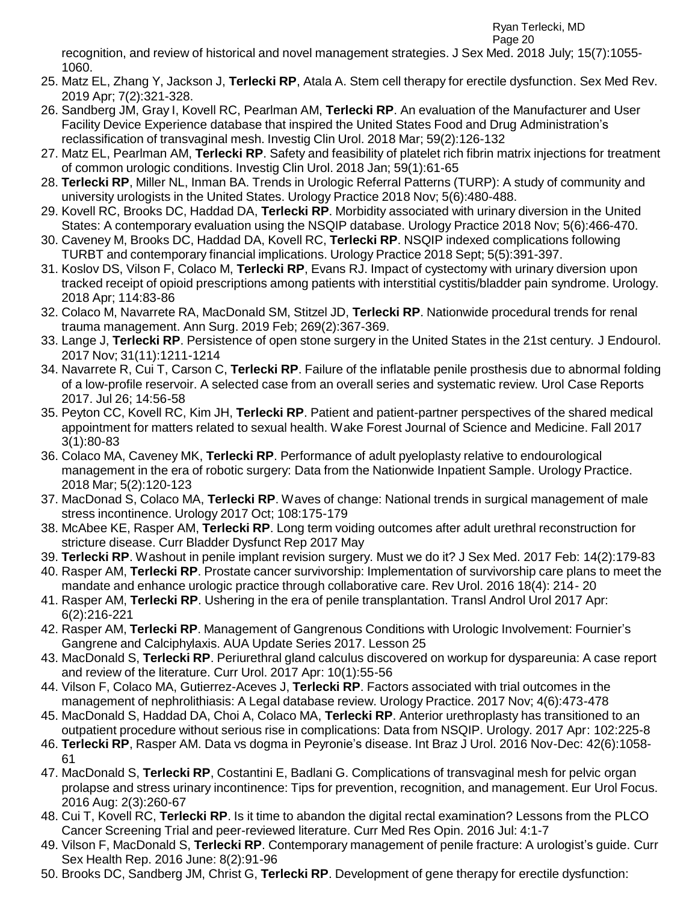recognition, and review of historical and novel management strategies. J Sex Med. 2018 July; 15(7):1055- 1060.

- 25. Matz EL, Zhang Y, Jackson J, **Terlecki RP**, Atala A. Stem cell therapy for erectile dysfunction. Sex Med Rev. 2019 Apr; 7(2):321-328.
- 26. Sandberg JM, Gray I, Kovell RC, Pearlman AM, **Terlecki RP**. An evaluation of the Manufacturer and User Facility Device Experience database that inspired the United States Food and Drug Administration's reclassification of transvaginal mesh. Investig Clin Urol. 2018 Mar; 59(2):126-132
- 27. Matz EL, Pearlman AM, **Terlecki RP**. Safety and feasibility of platelet rich fibrin matrix injections for treatment of common urologic conditions. Investig Clin Urol. 2018 Jan; 59(1):61-65
- 28. **Terlecki RP**, Miller NL, Inman BA. Trends in Urologic Referral Patterns (TURP): A study of community and university urologists in the United States. Urology Practice 2018 Nov; 5(6):480-488.
- 29. Kovell RC, Brooks DC, Haddad DA, **Terlecki RP**. Morbidity associated with urinary diversion in the United States: A contemporary evaluation using the NSQIP database. Urology Practice 2018 Nov; 5(6):466-470.
- 30. Caveney M, Brooks DC, Haddad DA, Kovell RC, **Terlecki RP**. NSQIP indexed complications following TURBT and contemporary financial implications. Urology Practice 2018 Sept; 5(5):391-397.
- 31. Koslov DS, Vilson F, Colaco M, **Terlecki RP**, Evans RJ. Impact of cystectomy with urinary diversion upon tracked receipt of opioid prescriptions among patients with interstitial cystitis/bladder pain syndrome. Urology. 2018 Apr; 114:83-86
- 32. Colaco M, Navarrete RA, MacDonald SM, Stitzel JD, **Terlecki RP**. Nationwide procedural trends for renal trauma management. Ann Surg. 2019 Feb; 269(2):367-369.
- 33. Lange J, **Terlecki RP**. Persistence of open stone surgery in the United States in the 21st century. J Endourol. 2017 Nov; 31(11):1211-1214
- 34. Navarrete R, Cui T, Carson C, **Terlecki RP**. Failure of the inflatable penile prosthesis due to abnormal folding of a low-profile reservoir. A selected case from an overall series and systematic review. Urol Case Reports 2017. Jul 26; 14:56-58
- 35. Peyton CC, Kovell RC, Kim JH, **Terlecki RP**. Patient and patient-partner perspectives of the shared medical appointment for matters related to sexual health. Wake Forest Journal of Science and Medicine. Fall 2017 3(1):80-83
- 36. Colaco MA, Caveney MK, **Terlecki RP**. Performance of adult pyeloplasty relative to endourological management in the era of robotic surgery: Data from the Nationwide Inpatient Sample. Urology Practice. 2018 Mar; 5(2):120-123
- 37. MacDonad S, Colaco MA, **Terlecki RP**. Waves of change: National trends in surgical management of male stress incontinence. Urology 2017 Oct; 108:175-179
- 38. McAbee KE, Rasper AM, **Terlecki RP**. Long term voiding outcomes after adult urethral reconstruction for stricture disease. Curr Bladder Dysfunct Rep 2017 May
- 39. **Terlecki RP**. Washout in penile implant revision surgery. Must we do it? J Sex Med. 2017 Feb: 14(2):179-83
- 40. Rasper AM, **Terlecki RP**. Prostate cancer survivorship: Implementation of survivorship care plans to meet the mandate and enhance urologic practice through collaborative care. Rev Urol. 2016 18(4): 214- 20
- 41. Rasper AM, **Terlecki RP**. Ushering in the era of penile transplantation. Transl Androl Urol 2017 Apr: 6(2):216-221
- 42. Rasper AM, **Terlecki RP**. Management of Gangrenous Conditions with Urologic Involvement: Fournier's Gangrene and Calciphylaxis. AUA Update Series 2017. Lesson 25
- 43. MacDonald S, **Terlecki RP**. Periurethral gland calculus discovered on workup for dyspareunia: A case report and review of the literature. Curr Urol. 2017 Apr: 10(1):55-56
- 44. Vilson F, Colaco MA, Gutierrez-Aceves J, **Terlecki RP**. Factors associated with trial outcomes in the management of nephrolithiasis: A Legal database review. Urology Practice. 2017 Nov; 4(6):473-478
- 45. MacDonald S, Haddad DA, Choi A, Colaco MA, **Terlecki RP**. Anterior urethroplasty has transitioned to an outpatient procedure without serious rise in complications: Data from NSQIP. Urology. 2017 Apr: 102:225-8
- 46. **Terlecki RP**, Rasper AM. Data vs dogma in Peyronie's disease. Int Braz J Urol. 2016 Nov-Dec: 42(6):1058- 61
- 47. MacDonald S, **Terlecki RP**, Costantini E, Badlani G. Complications of transvaginal mesh for pelvic organ prolapse and stress urinary incontinence: Tips for prevention, recognition, and management. Eur Urol Focus. 2016 Aug: 2(3):260-67
- 48. Cui T, Kovell RC, **Terlecki RP**. Is it time to abandon the digital rectal examination? Lessons from the PLCO Cancer Screening Trial and peer-reviewed literature. Curr Med Res Opin. 2016 Jul: 4:1-7
- 49. Vilson F, MacDonald S, **Terlecki RP**. Contemporary management of penile fracture: A urologist's guide. Curr Sex Health Rep. 2016 June: 8(2):91-96
- 50. Brooks DC, Sandberg JM, Christ G, **Terlecki RP**. Development of gene therapy for erectile dysfunction: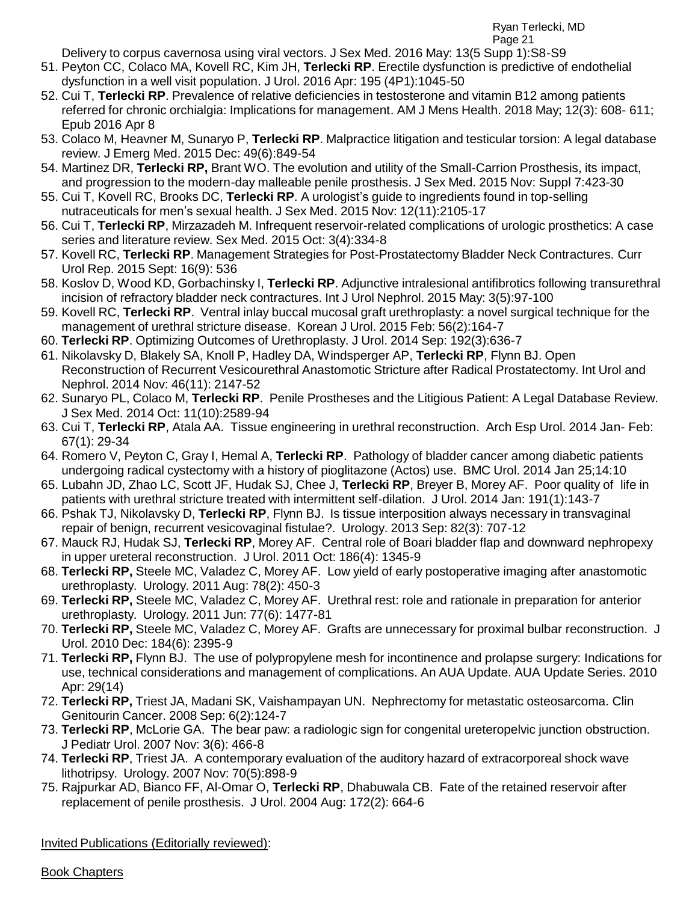Ryan Terlecki, MD

Page 21

Delivery to corpus cavernosa using viral vectors. J Sex Med. 2016 May: 13(5 Supp 1):S8-S9

- 51. Peyton CC, Colaco MA, Kovell RC, Kim JH, **Terlecki RP**. Erectile dysfunction is predictive of endothelial dysfunction in a well visit population. J Urol. 2016 Apr: 195 (4P1):1045-50
- 52. Cui T, **Terlecki RP**. Prevalence of relative deficiencies in testosterone and vitamin B12 among patients referred for chronic orchialgia: Implications for management. AM J Mens Health. 2018 May; 12(3): 608- 611; Epub 2016 Apr 8
- 53. Colaco M, Heavner M, Sunaryo P, **Terlecki RP**. Malpractice litigation and testicular torsion: A legal database review. J Emerg Med. 2015 Dec: 49(6):849-54
- 54. Martinez DR, **Terlecki RP,** Brant WO. The evolution and utility of the Small-Carrion Prosthesis, its impact, and progression to the modern-day malleable penile prosthesis. J Sex Med. 2015 Nov: Suppl 7:423-30
- 55. Cui T, Kovell RC, Brooks DC, **Terlecki RP**. A urologist's guide to ingredients found in top-selling nutraceuticals for men's sexual health. J Sex Med. 2015 Nov: 12(11):2105-17
- 56. Cui T, **Terlecki RP**, Mirzazadeh M. Infrequent reservoir-related complications of urologic prosthetics: A case series and literature review. Sex Med. 2015 Oct: 3(4):334-8
- 57. Kovell RC, **Terlecki RP**. Management Strategies for Post-Prostatectomy Bladder Neck Contractures. Curr Urol Rep. 2015 Sept: 16(9): 536
- 58. Koslov D, Wood KD, Gorbachinsky I, **Terlecki RP**. Adjunctive intralesional antifibrotics following transurethral incision of refractory bladder neck contractures. Int J Urol Nephrol. 2015 May: 3(5):97-100
- 59. Kovell RC, **Terlecki RP**. Ventral inlay buccal mucosal graft urethroplasty: a novel surgical technique for the management of urethral stricture disease. Korean J Urol. 2015 Feb: 56(2):164-7
- 60. **Terlecki RP**. Optimizing Outcomes of Urethroplasty. J Urol. 2014 Sep: 192(3):636-7
- 61. Nikolavsky D, Blakely SA, Knoll P, Hadley DA, Windsperger AP, **Terlecki RP**, Flynn BJ. Open Reconstruction of Recurrent Vesicourethral Anastomotic Stricture after Radical Prostatectomy. Int Urol and Nephrol. 2014 Nov: 46(11): 2147-52
- 62. Sunaryo PL, Colaco M, **Terlecki RP**. Penile Prostheses and the Litigious Patient: A Legal Database Review. J Sex Med. 2014 Oct: 11(10):2589-94
- 63. Cui T, **Terlecki RP**, Atala AA. Tissue engineering in urethral reconstruction. Arch Esp Urol. 2014 Jan- Feb: 67(1): 29-34
- 64. Romero V, Peyton C, Gray I, Hemal A, **Terlecki RP**. Pathology of bladder cancer among diabetic patients undergoing radical cystectomy with a history of pioglitazone (Actos) use. BMC Urol. 2014 Jan 25;14:10
- 65. Lubahn JD, Zhao LC, Scott JF, Hudak SJ, Chee J, **Terlecki RP**, Breyer B, Morey AF. Poor quality of life in patients with urethral stricture treated with intermittent self-dilation. J Urol. 2014 Jan: 191(1):143-7
- 66. Pshak TJ, Nikolavsky D, **Terlecki RP**, Flynn BJ. Is tissue interposition always necessary in transvaginal repair of benign, recurrent vesicovaginal fistulae?. Urology. 2013 Sep: 82(3): 707-12
- 67. Mauck RJ, Hudak SJ, **Terlecki RP**, Morey AF. Central role of Boari bladder flap and downward nephropexy in upper ureteral reconstruction. J Urol. 2011 Oct: 186(4): 1345-9
- 68. **Terlecki RP,** Steele MC, Valadez C, Morey AF. Low yield of early postoperative imaging after anastomotic urethroplasty. Urology. 2011 Aug: 78(2): 450-3
- 69. **Terlecki RP,** Steele MC, Valadez C, Morey AF. Urethral rest: role and rationale in preparation for anterior urethroplasty. Urology. 2011 Jun: 77(6): 1477-81
- 70. **Terlecki RP,** Steele MC, Valadez C, Morey AF. Grafts are unnecessary for proximal bulbar reconstruction. J Urol. 2010 Dec: 184(6): 2395-9
- 71. **Terlecki RP,** Flynn BJ. The use of polypropylene mesh for incontinence and prolapse surgery: Indications for use, technical considerations and management of complications. An AUA Update. AUA Update Series. 2010 Apr: 29(14)
- 72. **Terlecki RP,** Triest JA, Madani SK, Vaishampayan UN. Nephrectomy for metastatic osteosarcoma. Clin Genitourin Cancer. 2008 Sep: 6(2):124-7
- 73. **Terlecki RP**, McLorie GA. The bear paw: a radiologic sign for congenital ureteropelvic junction obstruction. J Pediatr Urol. 2007 Nov: 3(6): 466-8
- 74. **Terlecki RP**, Triest JA. A contemporary evaluation of the auditory hazard of extracorporeal shock wave lithotripsy. Urology. 2007 Nov: 70(5):898-9
- 75. Rajpurkar AD, Bianco FF, Al-Omar O, **Terlecki RP**, Dhabuwala CB. Fate of the retained reservoir after replacement of penile prosthesis. J Urol. 2004 Aug: 172(2): 664-6

Invited Publications (Editorially reviewed):

Book Chapters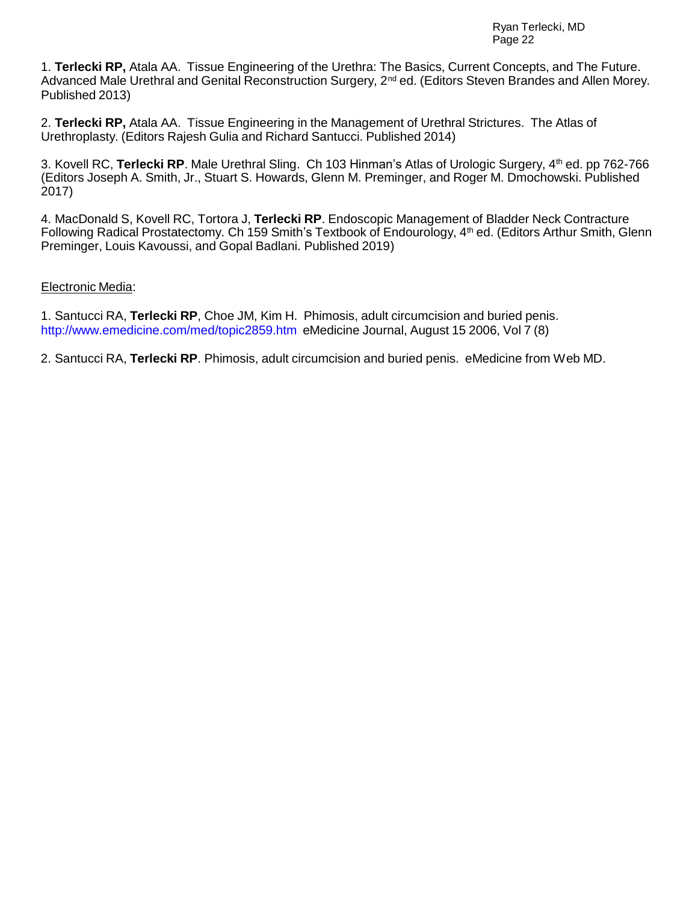1. **Terlecki RP,** Atala AA. Tissue Engineering of the Urethra: The Basics, Current Concepts, and The Future. Advanced Male Urethral and Genital Reconstruction Surgery, 2<sup>nd</sup> ed. (Editors Steven Brandes and Allen Morey. Published 2013)

2. **Terlecki RP,** Atala AA. Tissue Engineering in the Management of Urethral Strictures. The Atlas of Urethroplasty. (Editors Rajesh Gulia and Richard Santucci. Published 2014)

3. Kovell RC, **Terlecki RP**. Male Urethral Sling. Ch 103 Hinman's Atlas of Urologic Surgery, 4 th ed. pp 762-766 (Editors Joseph A. Smith, Jr., Stuart S. Howards, Glenn M. Preminger, and Roger M. Dmochowski. Published 2017)

4. MacDonald S, Kovell RC, Tortora J, **Terlecki RP**. Endoscopic Management of Bladder Neck Contracture Following Radical Prostatectomy. Ch 159 Smith's Textbook of Endourology, 4<sup>th</sup> ed. (Editors Arthur Smith, Glenn Preminger, Louis Kavoussi, and Gopal Badlani. Published 2019)

## Electronic Media:

1. Santucci RA, **Terlecki RP**, Choe JM, Kim H. Phimosis, adult circumcision and buried penis. <http://www.emedicine.com/med/topic2859.htm> eMedicine Journal, August 15 2006, Vol 7 (8)

2. Santucci RA, **Terlecki RP**. Phimosis, adult circumcision and buried penis. eMedicine from Web MD.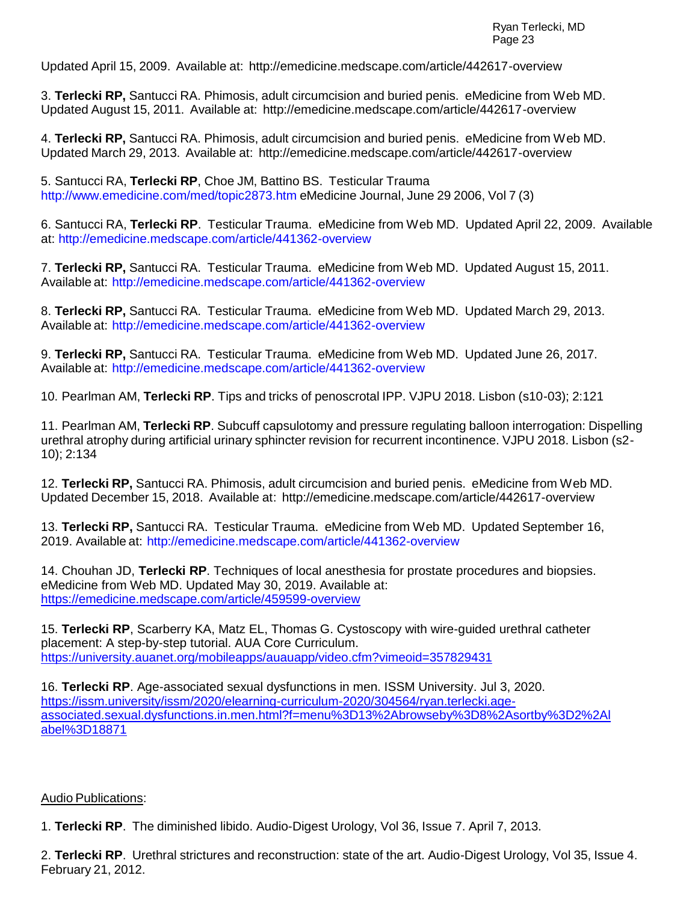Updated April 15, 2009. Available at: <http://emedicine.medscape.com/article/442617-overview>

3. **Terlecki RP,** Santucci RA. Phimosis, adult circumcision and buried penis. eMedicine from Web MD. Updated August 15, 2011. Available at: <http://emedicine.medscape.com/article/442617-overview>

4. **Terlecki RP,** Santucci RA. Phimosis, adult circumcision and buried penis. eMedicine from Web MD. Updated March 29, 2013. Available at: <http://emedicine.medscape.com/article/442617-overview>

5. Santucci RA, **Terlecki RP**, Choe JM, Battino BS. Testicular Trauma <http://www.emedicine.com/med/topic2873.htm> eMedicine Journal, June 29 2006, Vol 7 (3)

6. Santucci RA, **Terlecki RP**. Testicular Trauma. eMedicine from Web MD. Updated April 22, 2009. Available at:<http://emedicine.medscape.com/article/441362-overview>

7. **Terlecki RP,** Santucci RA. Testicular Trauma. eMedicine from Web MD. Updated August 15, 2011. Available at: <http://emedicine.medscape.com/article/441362-overview>

8. **Terlecki RP,** Santucci RA. Testicular Trauma. eMedicine from Web MD. Updated March 29, 2013. Available at: <http://emedicine.medscape.com/article/441362-overview>

9. **Terlecki RP,** Santucci RA. Testicular Trauma. eMedicine from Web MD. Updated June 26, 2017. Available at: <http://emedicine.medscape.com/article/441362-overview>

10. Pearlman AM, **Terlecki RP**. Tips and tricks of penoscrotal IPP. VJPU 2018. Lisbon (s10-03); 2:121

11. Pearlman AM, **Terlecki RP**. Subcuff capsulotomy and pressure regulating balloon interrogation: Dispelling urethral atrophy during artificial urinary sphincter revision for recurrent incontinence. VJPU 2018. Lisbon (s2- 10); 2:134

12. **Terlecki RP,** Santucci RA. Phimosis, adult circumcision and buried penis. eMedicine from Web MD. Updated December 15, 2018. Available at: <http://emedicine.medscape.com/article/442617-overview>

13. **Terlecki RP,** Santucci RA. Testicular Trauma. eMedicine from Web MD. Updated September 16, 2019. Available at: <http://emedicine.medscape.com/article/441362-overview>

14. Chouhan JD, **Terlecki RP**. Techniques of local anesthesia for prostate procedures and biopsies. eMedicine from Web MD. Updated May 30, 2019. Available at: <https://emedicine.medscape.com/article/459599-overview>

15. **Terlecki RP**, Scarberry KA, Matz EL, Thomas G. Cystoscopy with wire-guided urethral catheter placement: A step-by-step tutorial. AUA Core Curriculum. <https://university.auanet.org/mobileapps/auauapp/video.cfm?vimeoid=357829431>

16. **Terlecki RP**. Age-associated sexual dysfunctions in men. ISSM University. Jul 3, 2020. [https://issm.university/issm/2020/elearning-curriculum-2020/304564/ryan.terlecki.age](https://issm.university/issm/2020/elearning-curriculum-2020/304564/ryan.terlecki.age-associated.sexual.dysfunctions.in.men.html?f=menu%3D13%2Abrowseby%3D8%2Asortby%3D2%2Alabel%3D18871)[associated.sexual.dysfunctions.in.men.html?f=menu%3D13%2Abrowseby%3D8%2Asortby%3D2%2Al](https://issm.university/issm/2020/elearning-curriculum-2020/304564/ryan.terlecki.age-associated.sexual.dysfunctions.in.men.html?f=menu%3D13%2Abrowseby%3D8%2Asortby%3D2%2Alabel%3D18871) [abel%3D18871](https://issm.university/issm/2020/elearning-curriculum-2020/304564/ryan.terlecki.age-associated.sexual.dysfunctions.in.men.html?f=menu%3D13%2Abrowseby%3D8%2Asortby%3D2%2Alabel%3D18871)

#### Audio Publications:

1. **Terlecki RP**. The diminished libido. Audio-Digest Urology, Vol 36, Issue 7. April 7, 2013.

2. **Terlecki RP**. Urethral strictures and reconstruction: state of the art. Audio-Digest Urology, Vol 35, Issue 4. February 21, 2012.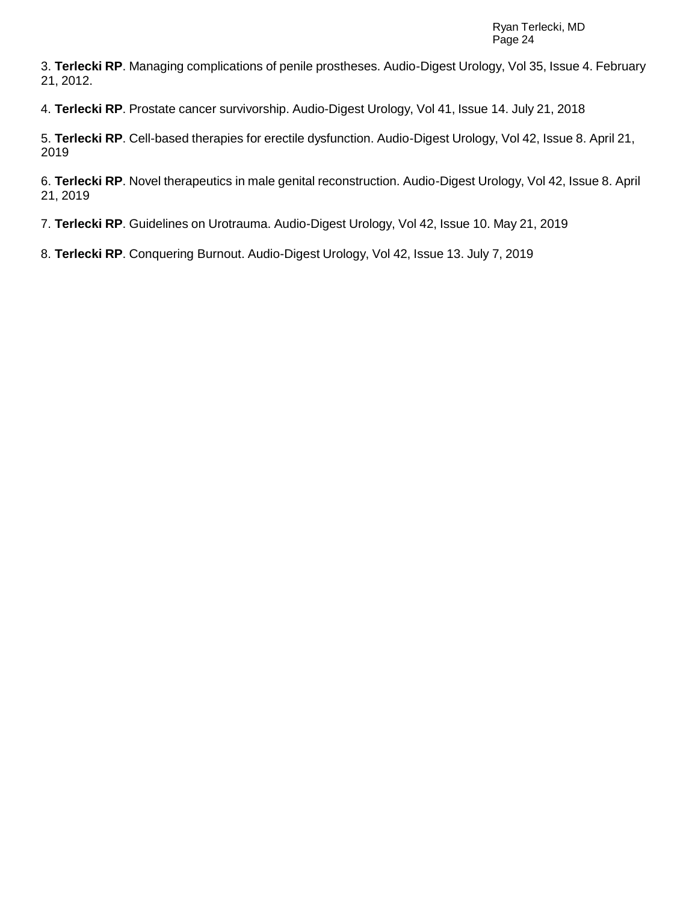3. **Terlecki RP**. Managing complications of penile prostheses. Audio-Digest Urology, Vol 35, Issue 4. February 21, 2012.

4. **Terlecki RP**. Prostate cancer survivorship. Audio-Digest Urology, Vol 41, Issue 14. July 21, 2018

5. **Terlecki RP**. Cell-based therapies for erectile dysfunction. Audio-Digest Urology, Vol 42, Issue 8. April 21, 2019

6. **Terlecki RP**. Novel therapeutics in male genital reconstruction. Audio-Digest Urology, Vol 42, Issue 8. April 21, 2019

7. **Terlecki RP**. Guidelines on Urotrauma. Audio-Digest Urology, Vol 42, Issue 10. May 21, 2019

8. **Terlecki RP**. Conquering Burnout. Audio-Digest Urology, Vol 42, Issue 13. July 7, 2019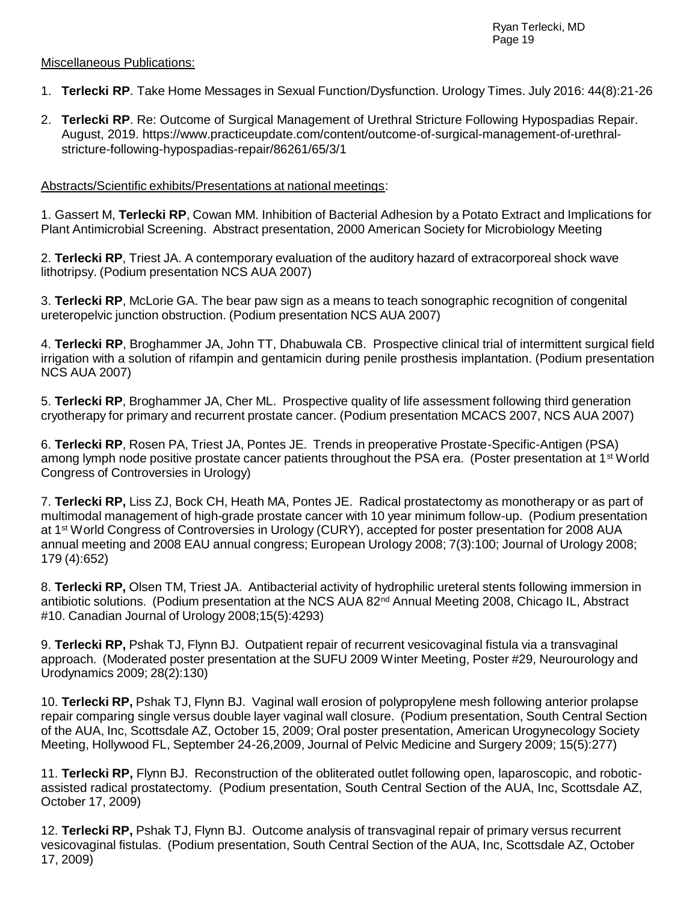### Miscellaneous Publications:

- 1. **Terlecki RP**. Take Home Messages in Sexual Function/Dysfunction. Urology Times. July 2016: 44(8):21-26
- 2. **Terlecki RP**. Re: Outcome of Surgical Management of Urethral Stricture Following Hypospadias Repair. August, 2019. https://www.practiceupdate.com/content/outcome-of-surgical-management-of-urethralstricture-following-hypospadias-repair/86261/65/3/1

### Abstracts/Scientific exhibits/Presentations at national meetings:

1. Gassert M, **Terlecki RP**, Cowan MM. Inhibition of Bacterial Adhesion by a Potato Extract and Implications for Plant Antimicrobial Screening. Abstract presentation, 2000 American Society for Microbiology Meeting

2. **Terlecki RP**, Triest JA. A contemporary evaluation of the auditory hazard of extracorporeal shock wave lithotripsy. (Podium presentation NCS AUA 2007)

3. **Terlecki RP**, McLorie GA. The bear paw sign as a means to teach sonographic recognition of congenital ureteropelvic junction obstruction. (Podium presentation NCS AUA 2007)

4. **Terlecki RP**, Broghammer JA, John TT, Dhabuwala CB. Prospective clinical trial of intermittent surgical field irrigation with a solution of rifampin and gentamicin during penile prosthesis implantation. (Podium presentation NCS AUA 2007)

5. **Terlecki RP**, Broghammer JA, Cher ML. Prospective quality of life assessment following third generation cryotherapy for primary and recurrent prostate cancer. (Podium presentation MCACS 2007, NCS AUA 2007)

6. **Terlecki RP**, Rosen PA, Triest JA, Pontes JE. Trends in preoperative Prostate-Specific-Antigen (PSA) among lymph node positive prostate cancer patients throughout the PSA era. (Poster presentation at 1<sup>st</sup> World Congress of Controversies in Urology)

7. **Terlecki RP,** Liss ZJ, Bock CH, Heath MA, Pontes JE. Radical prostatectomy as monotherapy or as part of multimodal management of high-grade prostate cancer with 10 year minimum follow-up. (Podium presentation at 1 st World Congress of Controversies in Urology (CURY), accepted for poster presentation for 2008 AUA annual meeting and 2008 EAU annual congress; European Urology 2008; 7(3):100; Journal of Urology 2008; 179 (4):652)

8. **Terlecki RP,** Olsen TM, Triest JA. Antibacterial activity of hydrophilic ureteral stents following immersion in antibiotic solutions. (Podium presentation at the NCS AUA 82<sup>nd</sup> Annual Meeting 2008, Chicago IL, Abstract #10. Canadian Journal of Urology 2008;15(5):4293)

9. **Terlecki RP,** Pshak TJ, Flynn BJ. Outpatient repair of recurrent vesicovaginal fistula via a transvaginal approach. (Moderated poster presentation at the SUFU 2009 Winter Meeting, Poster #29, Neurourology and Urodynamics 2009; 28(2):130)

10. **Terlecki RP,** Pshak TJ, Flynn BJ. Vaginal wall erosion of polypropylene mesh following anterior prolapse repair comparing single versus double layer vaginal wall closure. (Podium presentation, South Central Section of the AUA, Inc, Scottsdale AZ, October 15, 2009; Oral poster presentation, American Urogynecology Society Meeting, Hollywood FL, September 24-26,2009, Journal of Pelvic Medicine and Surgery 2009; 15(5):277)

11. **Terlecki RP,** Flynn BJ. Reconstruction of the obliterated outlet following open, laparoscopic, and roboticassisted radical prostatectomy. (Podium presentation, South Central Section of the AUA, Inc, Scottsdale AZ, October 17, 2009)

12. **Terlecki RP,** Pshak TJ, Flynn BJ. Outcome analysis of transvaginal repair of primary versus recurrent vesicovaginal fistulas. (Podium presentation, South Central Section of the AUA, Inc, Scottsdale AZ, October 17, 2009)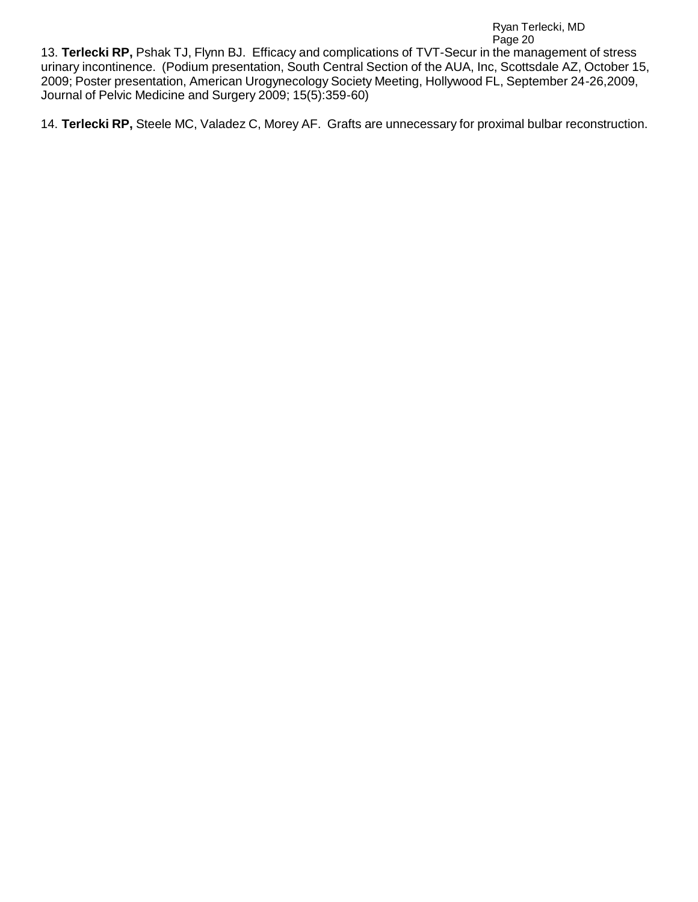13. **Terlecki RP,** Pshak TJ, Flynn BJ. Efficacy and complications of TVT-Secur in the management of stress urinary incontinence. (Podium presentation, South Central Section of the AUA, Inc, Scottsdale AZ, October 15, 2009; Poster presentation, American Urogynecology Society Meeting, Hollywood FL, September 24-26,2009, Journal of Pelvic Medicine and Surgery 2009; 15(5):359-60)

14. **Terlecki RP,** Steele MC, Valadez C, Morey AF. Grafts are unnecessary for proximal bulbar reconstruction.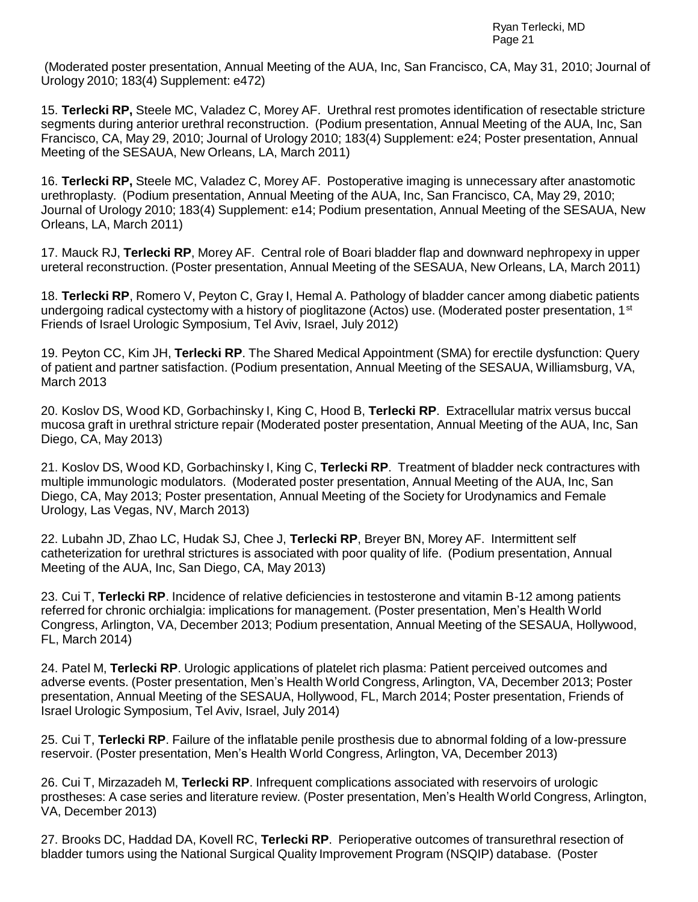(Moderated poster presentation, Annual Meeting of the AUA, Inc, San Francisco, CA, May 31, 2010; Journal of Urology 2010; 183(4) Supplement: e472)

15. **Terlecki RP,** Steele MC, Valadez C, Morey AF. Urethral rest promotes identification of resectable stricture segments during anterior urethral reconstruction. (Podium presentation, Annual Meeting of the AUA, Inc, San Francisco, CA, May 29, 2010; Journal of Urology 2010; 183(4) Supplement: e24; Poster presentation, Annual Meeting of the SESAUA, New Orleans, LA, March 2011)

16. **Terlecki RP,** Steele MC, Valadez C, Morey AF. Postoperative imaging is unnecessary after anastomotic urethroplasty. (Podium presentation, Annual Meeting of the AUA, Inc, San Francisco, CA, May 29, 2010; Journal of Urology 2010; 183(4) Supplement: e14; Podium presentation, Annual Meeting of the SESAUA, New Orleans, LA, March 2011)

17. Mauck RJ, **Terlecki RP**, Morey AF. Central role of Boari bladder flap and downward nephropexy in upper ureteral reconstruction. (Poster presentation, Annual Meeting of the SESAUA, New Orleans, LA, March 2011)

18. **Terlecki RP**, Romero V, Peyton C, Gray I, Hemal A. Pathology of bladder cancer among diabetic patients undergoing radical cystectomy with a history of pioglitazone (Actos) use. (Moderated poster presentation, 1<sup>st</sup> Friends of Israel Urologic Symposium, Tel Aviv, Israel, July 2012)

19. Peyton CC, Kim JH, **Terlecki RP**. The Shared Medical Appointment (SMA) for erectile dysfunction: Query of patient and partner satisfaction. (Podium presentation, Annual Meeting of the SESAUA, Williamsburg, VA, March 2013

20. Koslov DS, Wood KD, Gorbachinsky I, King C, Hood B, **Terlecki RP**. Extracellular matrix versus buccal mucosa graft in urethral stricture repair (Moderated poster presentation, Annual Meeting of the AUA, Inc, San Diego, CA, May 2013)

21. Koslov DS, Wood KD, Gorbachinsky I, King C, **Terlecki RP**. Treatment of bladder neck contractures with multiple immunologic modulators. (Moderated poster presentation, Annual Meeting of the AUA, Inc, San Diego, CA, May 2013; Poster presentation, Annual Meeting of the Society for Urodynamics and Female Urology, Las Vegas, NV, March 2013)

22. Lubahn JD, Zhao LC, Hudak SJ, Chee J, **Terlecki RP**, Breyer BN, Morey AF. Intermittent self catheterization for urethral strictures is associated with poor quality of life. (Podium presentation, Annual Meeting of the AUA, Inc, San Diego, CA, May 2013)

23. Cui T, **Terlecki RP**. Incidence of relative deficiencies in testosterone and vitamin B-12 among patients referred for chronic orchialgia: implications for management. (Poster presentation, Men's Health World Congress, Arlington, VA, December 2013; Podium presentation, Annual Meeting of the SESAUA, Hollywood, FL, March 2014)

24. Patel M, **Terlecki RP**. Urologic applications of platelet rich plasma: Patient perceived outcomes and adverse events. (Poster presentation, Men's Health World Congress, Arlington, VA, December 2013; Poster presentation, Annual Meeting of the SESAUA, Hollywood, FL, March 2014; Poster presentation, Friends of Israel Urologic Symposium, Tel Aviv, Israel, July 2014)

25. Cui T, **Terlecki RP**. Failure of the inflatable penile prosthesis due to abnormal folding of a low-pressure reservoir. (Poster presentation, Men's Health World Congress, Arlington, VA, December 2013)

26. Cui T, Mirzazadeh M, **Terlecki RP**. Infrequent complications associated with reservoirs of urologic prostheses: A case series and literature review. (Poster presentation, Men's Health World Congress, Arlington, VA, December 2013)

27. Brooks DC, Haddad DA, Kovell RC, **Terlecki RP**. Perioperative outcomes of transurethral resection of bladder tumors using the National Surgical Quality Improvement Program (NSQIP) database. (Poster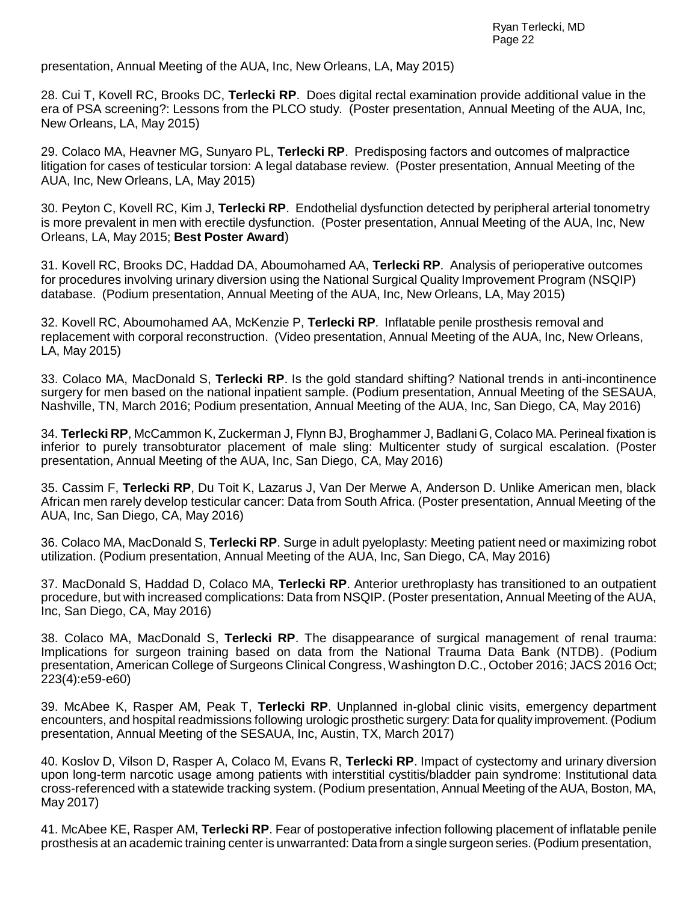presentation, Annual Meeting of the AUA, Inc, New Orleans, LA, May 2015)

28. Cui T, Kovell RC, Brooks DC, **Terlecki RP**. Does digital rectal examination provide additional value in the era of PSA screening?: Lessons from the PLCO study. (Poster presentation, Annual Meeting of the AUA, Inc, New Orleans, LA, May 2015)

29. Colaco MA, Heavner MG, Sunyaro PL, **Terlecki RP**. Predisposing factors and outcomes of malpractice litigation for cases of testicular torsion: A legal database review. (Poster presentation, Annual Meeting of the AUA, Inc, New Orleans, LA, May 2015)

30. Peyton C, Kovell RC, Kim J, **Terlecki RP**. Endothelial dysfunction detected by peripheral arterial tonometry is more prevalent in men with erectile dysfunction. (Poster presentation, Annual Meeting of the AUA, Inc, New Orleans, LA, May 2015; **Best Poster Award**)

31. Kovell RC, Brooks DC, Haddad DA, Aboumohamed AA, **Terlecki RP**. Analysis of perioperative outcomes for procedures involving urinary diversion using the National Surgical Quality Improvement Program (NSQIP) database. (Podium presentation, Annual Meeting of the AUA, Inc, New Orleans, LA, May 2015)

32. Kovell RC, Aboumohamed AA, McKenzie P, **Terlecki RP**. Inflatable penile prosthesis removal and replacement with corporal reconstruction. (Video presentation, Annual Meeting of the AUA, Inc, New Orleans, LA, May 2015)

33. Colaco MA, MacDonald S, **Terlecki RP**. Is the gold standard shifting? National trends in anti-incontinence surgery for men based on the national inpatient sample. (Podium presentation, Annual Meeting of the SESAUA, Nashville, TN, March 2016; Podium presentation, Annual Meeting of the AUA, Inc, San Diego, CA, May 2016)

34. **Terlecki RP**, McCammon K, Zuckerman J, Flynn BJ, Broghammer J, Badlani G, Colaco MA. Perineal fixation is inferior to purely transobturator placement of male sling: Multicenter study of surgical escalation. (Poster presentation, Annual Meeting of the AUA, Inc, San Diego, CA, May 2016)

35. Cassim F, **Terlecki RP**, Du Toit K, Lazarus J, Van Der Merwe A, Anderson D. Unlike American men, black African men rarely develop testicular cancer: Data from South Africa. (Poster presentation, Annual Meeting of the AUA, Inc, San Diego, CA, May 2016)

36. Colaco MA, MacDonald S, **Terlecki RP**. Surge in adult pyeloplasty: Meeting patient need or maximizing robot utilization. (Podium presentation, Annual Meeting of the AUA, Inc, San Diego, CA, May 2016)

37. MacDonald S, Haddad D, Colaco MA, **Terlecki RP**. Anterior urethroplasty has transitioned to an outpatient procedure, but with increased complications: Data from NSQIP. (Poster presentation, Annual Meeting of the AUA, Inc, San Diego, CA, May 2016)

38. Colaco MA, MacDonald S, **Terlecki RP**. The disappearance of surgical management of renal trauma: Implications for surgeon training based on data from the National Trauma Data Bank (NTDB). (Podium presentation, American College of Surgeons Clinical Congress, Washington D.C., October 2016; JACS 2016 Oct; 223(4):e59-e60)

39. McAbee K, Rasper AM, Peak T, **Terlecki RP**. Unplanned in-global clinic visits, emergency department encounters, and hospital readmissions following urologic prosthetic surgery: Data for quality improvement. (Podium presentation, Annual Meeting of the SESAUA, Inc, Austin, TX, March 2017)

40. Koslov D, Vilson D, Rasper A, Colaco M, Evans R, **Terlecki RP**. Impact of cystectomy and urinary diversion upon long-term narcotic usage among patients with interstitial cystitis/bladder pain syndrome: Institutional data cross-referenced with a statewide tracking system. (Podium presentation, Annual Meeting of the AUA, Boston, MA, May 2017)

41. McAbee KE, Rasper AM, **Terlecki RP**. Fear of postoperative infection following placement of inflatable penile prosthesis at an academic training center is unwarranted: Data from a single surgeon series.(Podium presentation,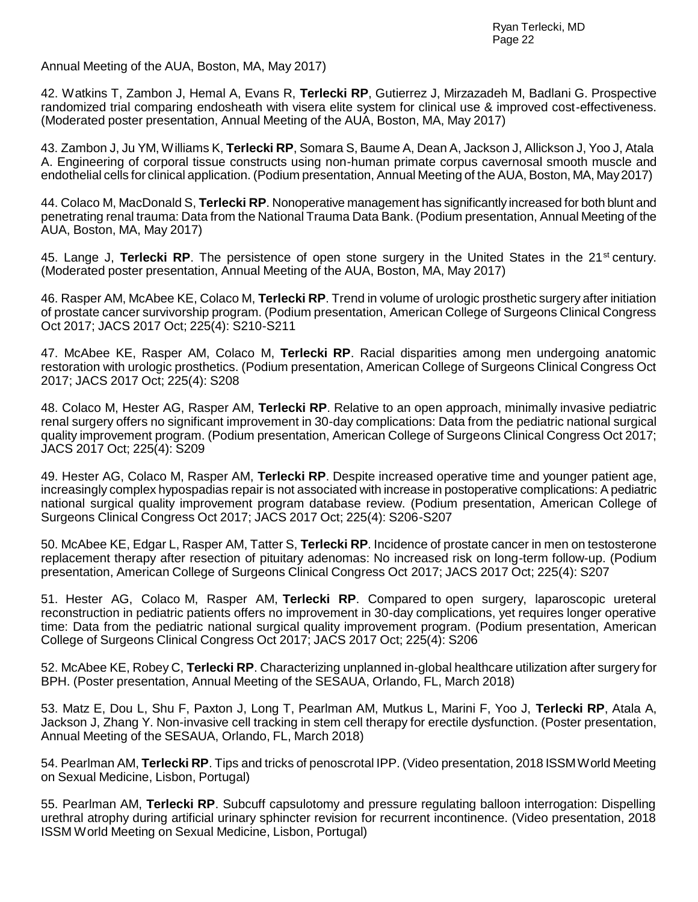Annual Meeting of the AUA, Boston, MA, May 2017)

42. Watkins T, Zambon J, Hemal A, Evans R, **Terlecki RP**, Gutierrez J, Mirzazadeh M, Badlani G. Prospective randomized trial comparing endosheath with visera elite system for clinical use & improved cost-effectiveness. (Moderated poster presentation, Annual Meeting of the AUA, Boston, MA, May 2017)

43. Zambon J, Ju YM, Williams K, **Terlecki RP**, Somara S, Baume A, Dean A, Jackson J, Allickson J, Yoo J, Atala A. Engineering of corporal tissue constructs using non-human primate corpus cavernosal smooth muscle and endothelial cells for clinical application. (Podium presentation, Annual Meeting of the AUA, Boston, MA, May2017)

44. Colaco M, MacDonald S, **Terlecki RP**. Nonoperative management has significantly increased for both blunt and penetrating renal trauma: Data from the National Trauma Data Bank. (Podium presentation, Annual Meeting of the AUA, Boston, MA, May 2017)

45. Lange J, Terlecki RP. The persistence of open stone surgery in the United States in the 21<sup>st</sup> century. (Moderated poster presentation, Annual Meeting of the AUA, Boston, MA, May 2017)

46. Rasper AM, McAbee KE, Colaco M, **Terlecki RP**. Trend in volume of urologic prosthetic surgery after initiation of prostate cancer survivorship program. (Podium presentation, American College of Surgeons Clinical Congress Oct 2017; JACS 2017 Oct; 225(4): S210-S211

47. McAbee KE, Rasper AM, Colaco M, **Terlecki RP**. Racial disparities among men undergoing anatomic restoration with urologic prosthetics. (Podium presentation, American College of Surgeons Clinical Congress Oct 2017; JACS 2017 Oct; 225(4): S208

48. Colaco M, Hester AG, Rasper AM, **Terlecki RP**. Relative to an open approach, minimally invasive pediatric renal surgery offers no significant improvement in 30-day complications: Data from the pediatric national surgical quality improvement program. (Podium presentation, American College of Surgeons Clinical Congress Oct 2017; JACS 2017 Oct; 225(4): S209

49. Hester AG, Colaco M, Rasper AM, **Terlecki RP**. Despite increased operative time and younger patient age, increasingly complex hypospadias repair is not associated with increase in postoperative complications: A pediatric national surgical quality improvement program database review. (Podium presentation, American College of Surgeons Clinical Congress Oct 2017; JACS 2017 Oct; 225(4): S206-S207

50. McAbee KE, Edgar L, Rasper AM, Tatter S, **Terlecki RP**. Incidence of prostate cancer in men on testosterone replacement therapy after resection of pituitary adenomas: No increased risk on long-term follow-up. (Podium presentation, American College of Surgeons Clinical Congress Oct 2017; JACS 2017 Oct; 225(4): S207

51. Hester AG, Colaco M, Rasper AM, **Terlecki RP**. Compared to open surgery, laparoscopic ureteral reconstruction in pediatric patients offers no improvement in 30-day complications, yet requires longer operative time: Data from the pediatric national surgical quality improvement program. (Podium presentation, American College of Surgeons Clinical Congress Oct 2017; JACS 2017 Oct; 225(4): S206

52. McAbee KE, Robey C, **Terlecki RP**. Characterizing unplanned in-global healthcare utilization after surgery for BPH. (Poster presentation, Annual Meeting of the SESAUA, Orlando, FL, March 2018)

53. Matz E, Dou L, Shu F, Paxton J, Long T, Pearlman AM, Mutkus L, Marini F, Yoo J, **Terlecki RP**, Atala A, Jackson J, Zhang Y. Non-invasive cell tracking in stem cell therapy for erectile dysfunction. (Poster presentation, Annual Meeting of the SESAUA, Orlando, FL, March 2018)

54. Pearlman AM, **Terlecki RP**. Tips and tricks of penoscrotal IPP. (Video presentation, 2018 ISSMWorld Meeting on Sexual Medicine, Lisbon, Portugal)

55. Pearlman AM, **Terlecki RP**. Subcuff capsulotomy and pressure regulating balloon interrogation: Dispelling urethral atrophy during artificial urinary sphincter revision for recurrent incontinence. (Video presentation, 2018 ISSM World Meeting on Sexual Medicine, Lisbon, Portugal)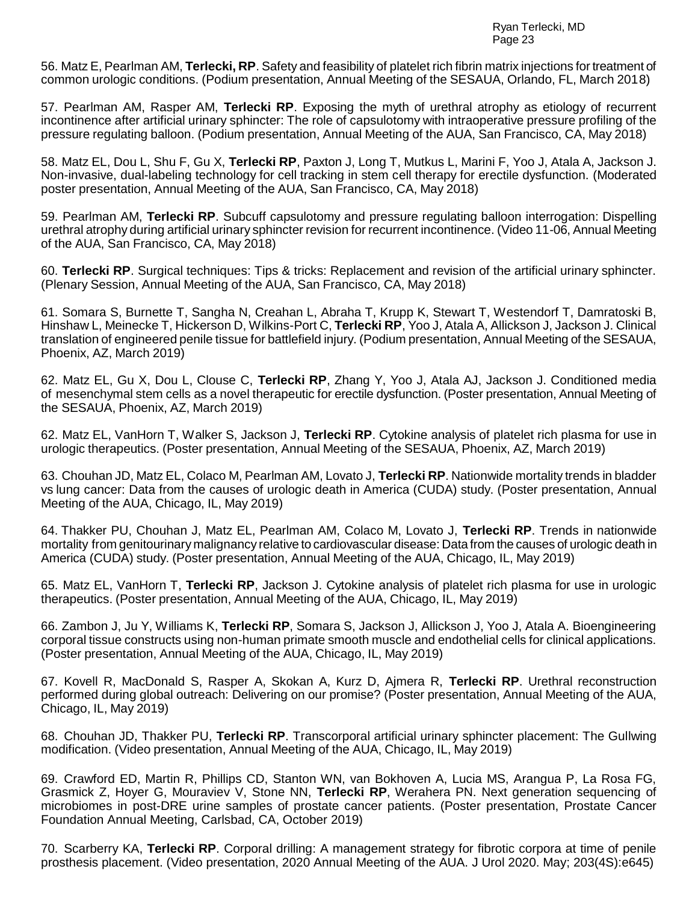56. Matz E, Pearlman AM, **Terlecki, RP**. Safety and feasibility of platelet rich fibrin matrix injections for treatment of common urologic conditions. (Podium presentation, Annual Meeting of the SESAUA, Orlando, FL, March 2018)

57. Pearlman AM, Rasper AM, **Terlecki RP**. Exposing the myth of urethral atrophy as etiology of recurrent incontinence after artificial urinary sphincter: The role of capsulotomy with intraoperative pressure profiling of the pressure regulating balloon. (Podium presentation, Annual Meeting of the AUA, San Francisco, CA, May 2018)

58. Matz EL, Dou L, Shu F, Gu X, **Terlecki RP**, Paxton J, Long T, Mutkus L, Marini F, Yoo J, Atala A, Jackson J. Non-invasive, dual-labeling technology for cell tracking in stem cell therapy for erectile dysfunction. (Moderated poster presentation, Annual Meeting of the AUA, San Francisco, CA, May 2018)

59. Pearlman AM, **Terlecki RP**. Subcuff capsulotomy and pressure regulating balloon interrogation: Dispelling urethral atrophy during artificial urinary sphincter revision for recurrent incontinence. (Video 11-06, Annual Meeting of the AUA, San Francisco, CA, May 2018)

60. **Terlecki RP**. Surgical techniques: Tips & tricks: Replacement and revision of the artificial urinary sphincter. (Plenary Session, Annual Meeting of the AUA, San Francisco, CA, May 2018)

61. Somara S, Burnette T, Sangha N, Creahan L, Abraha T, Krupp K, Stewart T, Westendorf T, Damratoski B, Hinshaw L, Meinecke T, Hickerson D, Wilkins-Port C, **Terlecki RP**, Yoo J, Atala A, Allickson J, Jackson J. Clinical translation of engineered penile tissue for battlefield injury. (Podium presentation, Annual Meeting of the SESAUA, Phoenix, AZ, March 2019)

62. Matz EL, Gu X, Dou L, Clouse C, **Terlecki RP**, Zhang Y, Yoo J, Atala AJ, Jackson J. Conditioned media of mesenchymal stem cells as a novel therapeutic for erectile dysfunction. (Poster presentation, Annual Meeting of the SESAUA, Phoenix, AZ, March 2019)

62. Matz EL, VanHorn T, Walker S, Jackson J, **Terlecki RP**. Cytokine analysis of platelet rich plasma for use in urologic therapeutics. (Poster presentation, Annual Meeting of the SESAUA, Phoenix, AZ, March 2019)

63. Chouhan JD, Matz EL, Colaco M, Pearlman AM, Lovato J, **Terlecki RP**. Nationwide mortality trends in bladder vs lung cancer: Data from the causes of urologic death in America (CUDA) study. (Poster presentation, Annual Meeting of the AUA, Chicago, IL, May 2019)

64. Thakker PU, Chouhan J, Matz EL, Pearlman AM, Colaco M, Lovato J, **Terlecki RP**. Trends in nationwide mortality from genitourinary malignancy relative to cardiovascular disease: Data from the causes of urologic death in America (CUDA) study. (Poster presentation, Annual Meeting of the AUA, Chicago, IL, May 2019)

65. Matz EL, VanHorn T, **Terlecki RP**, Jackson J. Cytokine analysis of platelet rich plasma for use in urologic therapeutics. (Poster presentation, Annual Meeting of the AUA, Chicago, IL, May 2019)

66. Zambon J, Ju Y, Williams K, **Terlecki RP**, Somara S, Jackson J, Allickson J, Yoo J, Atala A. Bioengineering corporal tissue constructs using non-human primate smooth muscle and endothelial cells for clinical applications. (Poster presentation, Annual Meeting of the AUA, Chicago, IL, May 2019)

67. Kovell R, MacDonald S, Rasper A, Skokan A, Kurz D, Ajmera R, **Terlecki RP**. Urethral reconstruction performed during global outreach: Delivering on our promise? (Poster presentation, Annual Meeting of the AUA, Chicago, IL, May 2019)

68. Chouhan JD, Thakker PU, **Terlecki RP**. Transcorporal artificial urinary sphincter placement: The Gullwing modification. (Video presentation, Annual Meeting of the AUA, Chicago, IL, May 2019)

69. Crawford ED, Martin R, Phillips CD, Stanton WN, van Bokhoven A, Lucia MS, Arangua P, La Rosa FG, Grasmick Z, Hoyer G, Mouraviev V, Stone NN, **Terlecki RP**, Werahera PN. Next generation sequencing of microbiomes in post-DRE urine samples of prostate cancer patients. (Poster presentation, Prostate Cancer Foundation Annual Meeting, Carlsbad, CA, October 2019)

70. Scarberry KA, **Terlecki RP**. Corporal drilling: A management strategy for fibrotic corpora at time of penile prosthesis placement. (Video presentation, 2020 Annual Meeting of the AUA. J Urol 2020. May; 203(4S):e645)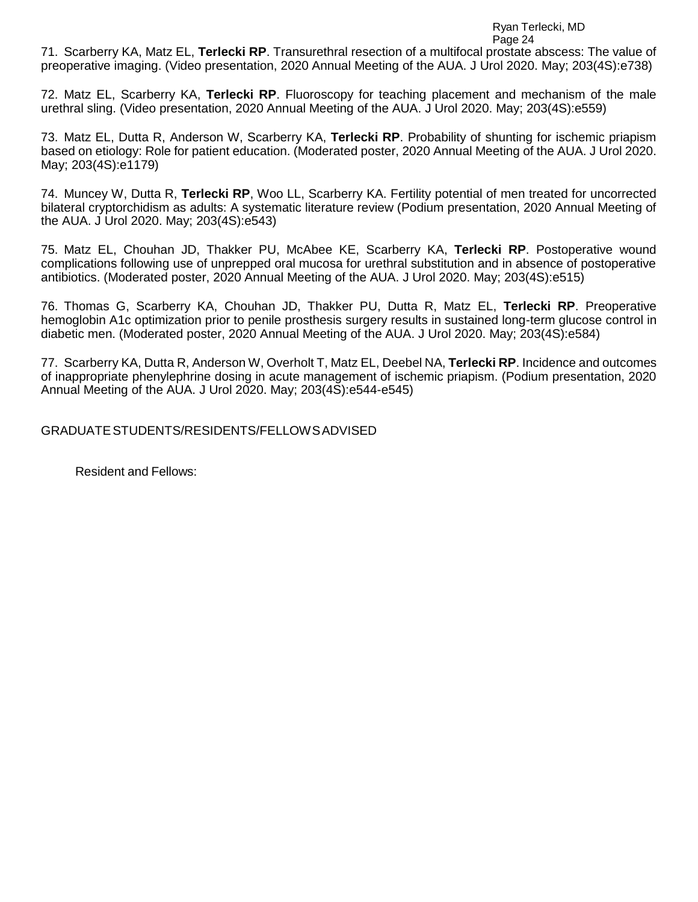Ryan Terlecki, MD

Page 24

71. Scarberry KA, Matz EL, **Terlecki RP**. Transurethral resection of a multifocal prostate abscess: The value of preoperative imaging. (Video presentation, 2020 Annual Meeting of the AUA. J Urol 2020. May; 203(4S):e738)

72. Matz EL, Scarberry KA, **Terlecki RP**. Fluoroscopy for teaching placement and mechanism of the male urethral sling. (Video presentation, 2020 Annual Meeting of the AUA. J Urol 2020. May; 203(4S):e559)

73. Matz EL, Dutta R, Anderson W, Scarberry KA, **Terlecki RP**. Probability of shunting for ischemic priapism based on etiology: Role for patient education. (Moderated poster, 2020 Annual Meeting of the AUA. J Urol 2020. May; 203(4S):e1179)

74. Muncey W, Dutta R, **Terlecki RP**, Woo LL, Scarberry KA. Fertility potential of men treated for uncorrected bilateral cryptorchidism as adults: A systematic literature review (Podium presentation, 2020 Annual Meeting of the AUA. J Urol 2020. May; 203(4S):e543)

75. Matz EL, Chouhan JD, Thakker PU, McAbee KE, Scarberry KA, **Terlecki RP**. Postoperative wound complications following use of unprepped oral mucosa for urethral substitution and in absence of postoperative antibiotics. (Moderated poster, 2020 Annual Meeting of the AUA. J Urol 2020. May; 203(4S):e515)

76. Thomas G, Scarberry KA, Chouhan JD, Thakker PU, Dutta R, Matz EL, **Terlecki RP**. Preoperative hemoglobin A1c optimization prior to penile prosthesis surgery results in sustained long-term glucose control in diabetic men. (Moderated poster, 2020 Annual Meeting of the AUA. J Urol 2020. May; 203(4S):e584)

77. Scarberry KA, Dutta R, Anderson W, Overholt T, Matz EL, Deebel NA, **Terlecki RP**. Incidence and outcomes of inappropriate phenylephrine dosing in acute management of ischemic priapism. (Podium presentation, 2020 Annual Meeting of the AUA. J Urol 2020. May; 203(4S):e544-e545)

GRADUATESTUDENTS/RESIDENTS/FELLOWSADVISED

Resident and Fellows: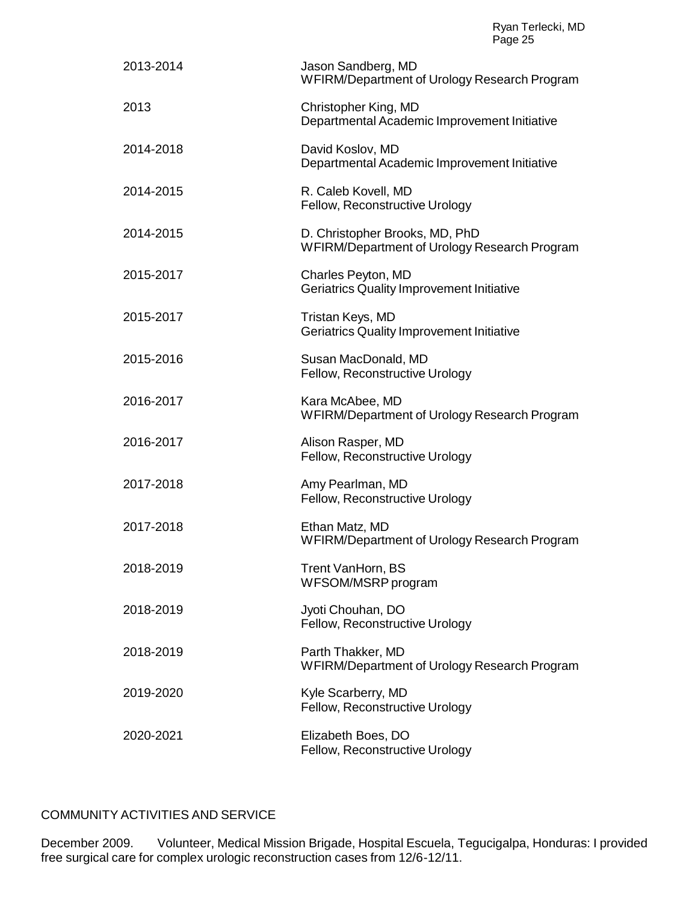| 2013-2014 | Jason Sandberg, MD<br>WFIRM/Department of Urology Research Program             |
|-----------|--------------------------------------------------------------------------------|
| 2013      | Christopher King, MD<br>Departmental Academic Improvement Initiative           |
| 2014-2018 | David Koslov, MD<br>Departmental Academic Improvement Initiative               |
| 2014-2015 | R. Caleb Kovell, MD<br>Fellow, Reconstructive Urology                          |
| 2014-2015 | D. Christopher Brooks, MD, PhD<br>WFIRM/Department of Urology Research Program |
| 2015-2017 | Charles Peyton, MD<br><b>Geriatrics Quality Improvement Initiative</b>         |
| 2015-2017 | Tristan Keys, MD<br><b>Geriatrics Quality Improvement Initiative</b>           |
| 2015-2016 | Susan MacDonald, MD<br>Fellow, Reconstructive Urology                          |
| 2016-2017 | Kara McAbee, MD<br>WFIRM/Department of Urology Research Program                |
| 2016-2017 | Alison Rasper, MD<br>Fellow, Reconstructive Urology                            |
| 2017-2018 | Amy Pearlman, MD<br>Fellow, Reconstructive Urology                             |
| 2017-2018 | Ethan Matz, MD<br>WFIRM/Department of Urology Research Program                 |
| 2018-2019 | Trent VanHorn, BS<br>WFSOM/MSRP program                                        |
| 2018-2019 | Jyoti Chouhan, DO<br>Fellow, Reconstructive Urology                            |
| 2018-2019 | Parth Thakker, MD<br>WFIRM/Department of Urology Research Program              |
| 2019-2020 | Kyle Scarberry, MD<br>Fellow, Reconstructive Urology                           |
| 2020-2021 | Elizabeth Boes, DO<br>Fellow, Reconstructive Urology                           |

COMMUNITY ACTIVITIES AND SERVICE

December 2009. Volunteer, Medical Mission Brigade, Hospital Escuela, Tegucigalpa, Honduras: I provided free surgical care for complex urologic reconstruction cases from 12/6-12/11.